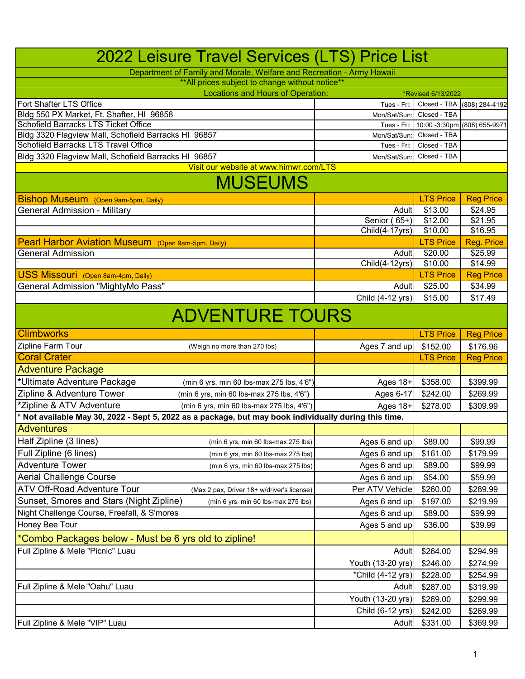| Department of Family and Morale, Welfare and Recreation - Army Hawaii<br>** All prices subject to change without notice**<br><b>Locations and Hours of Operation:</b><br>*Revised 6/13/2022<br>Fort Shafter LTS Office<br>Closed - TBA<br>Tues - Fri:<br>Bldg 550 PX Market, Ft. Shafter, HI 96858<br>Closed - TBA<br>Mon/Sat/Sun<br><b>Schofield Barracks LTS Ticket Office</b><br>10:00 -3:30pm (808) 655-9971<br>Tues - Fri:<br>Bldg 3320 Flagview Mall, Schofield Barracks HI 96857<br>Closed - TBA<br>Mon/Sat/Sun:<br><b>Schofield Barracks LTS Travel Office</b><br>Closed - TBA<br>Tues - Fri:<br>Bldg 3320 Flagview Mall, Schofield Barracks HI 96857<br>Closed - TBA<br>Mon/Sat/Sun:<br>Visit our website at www.himwr.com/LTS<br><b>MUSEUMS</b><br><b>LTS Price</b><br>Bishop Museum (Open 9am-5pm, Daily)<br><b>General Admission - Military</b><br>\$13.00<br>\$24.95<br>Adult<br>Senior (<br>$65+)$<br>\$12.00<br>\$21.95<br>\$10.00<br>\$16.95<br>Child(4-17yrs)<br>Pearl Harbor Aviation Museum (Open 9am-5pm, Daily)<br><b>LTS Price</b><br><b>Reg. Price</b><br>\$20.00<br>\$25.99<br><b>General Admission</b><br>Adult<br>$ChiId(4-12yrs)$<br>\$10.00<br>\$14.99<br>USS Missouri (Open 8am-4pm, Daily)<br><b>LTS Price</b><br><b>Reg Price</b><br><b>General Admission "MightyMo Pass"</b><br>\$25.00<br>\$34.99<br>Adult<br>Child (4-12 yrs)<br>\$15.00<br>\$17.49<br><b>ADVENTURE TOURS</b><br><b>Climbworks</b><br><b>LTS Price</b><br>Zipline Farm Tour<br>Ages 7 and up<br>\$152.00<br>\$176.96<br>(Weigh no more than 270 lbs)<br><b>Coral Crater</b><br><b>LTS Price</b><br><b>Adventure Package</b><br>*Ultimate Adventure Package<br>\$358.00<br>\$399.99<br>Ages 18+<br>(min 6 yrs, min 60 lbs-max 275 lbs, 4'6")<br>Zipline & Adventure Tower<br>(min 6 yrs, min 60 lbs-max 275 lbs, 4'6")<br>Ages 6-17<br>\$242.00<br>\$269.99<br>*Zipline & ATV Adventure<br>\$278.00<br>\$309.99<br>(min 6 yrs, min 60 lbs-max 275 lbs, 4'6")<br>Ages $18+$<br>* Not available May 30, 2022 - Sept 5, 2022 as a package, but may book individually during this time.<br><b>Adventures</b><br>Half Zipline (3 lines)<br>\$89.00<br>\$99.99<br>Ages 6 and up<br>(min 6 yrs, min 60 lbs-max 275 lbs)<br>Full Zipline (6 lines)<br>\$161.00<br>Ages 6 and up<br>\$179.99<br>(min 6 yrs, min 60 lbs-max 275 lbs)<br><b>Adventure Tower</b><br>Ages 6 and up<br>\$89.00<br>\$99.99<br>(min 6 yrs, min 60 lbs-max 275 lbs)<br><b>Aerial Challenge Course</b><br>Ages 6 and up<br>\$54.00<br>\$59.99<br>ATV Off-Road Adventure Tour<br>\$260.00<br>Per ATV Vehicle<br>\$289.99<br>(Max 2 pax, Driver 18+ w/driver's license)<br>Sunset, Smores and Stars (Night Zipline)<br>Ages 6 and up<br>\$197.00<br>\$219.99<br>(min 6 yrs, min 60 lbs-max 275 lbs)<br>Night Challenge Course, Freefall, & S'mores<br>\$89.00<br>\$99.99<br>Ages 6 and up<br>Honey Bee Tour<br>\$36.00<br>Ages 5 and up<br>\$39.99<br>*Combo Packages below - Must be 6 yrs old to zipline!<br>Full Zipline & Mele "Picnic" Luau<br>\$264.00<br>\$294.99<br>Adult<br>Youth (13-20 yrs)<br>\$246.00<br>\$274.99<br>*Child (4-12 yrs)<br>\$228.00<br>\$254.99<br>Full Zipline & Mele "Oahu" Luau<br>Adult<br>\$287.00<br>\$319.99<br>Youth (13-20 yrs)<br>\$269.00<br>\$299.99<br>Child (6-12 yrs)<br>\$242.00<br>\$269.99<br>Full Zipline & Mele "VIP" Luau<br>\$331.00<br>Adult<br>\$369.99 | 2022 Leisure Travel Services (LTS) Price List |  |                  |
|--------------------------------------------------------------------------------------------------------------------------------------------------------------------------------------------------------------------------------------------------------------------------------------------------------------------------------------------------------------------------------------------------------------------------------------------------------------------------------------------------------------------------------------------------------------------------------------------------------------------------------------------------------------------------------------------------------------------------------------------------------------------------------------------------------------------------------------------------------------------------------------------------------------------------------------------------------------------------------------------------------------------------------------------------------------------------------------------------------------------------------------------------------------------------------------------------------------------------------------------------------------------------------------------------------------------------------------------------------------------------------------------------------------------------------------------------------------------------------------------------------------------------------------------------------------------------------------------------------------------------------------------------------------------------------------------------------------------------------------------------------------------------------------------------------------------------------------------------------------------------------------------------------------------------------------------------------------------------------------------------------------------------------------------------------------------------------------------------------------------------------------------------------------------------------------------------------------------------------------------------------------------------------------------------------------------------------------------------------------------------------------------------------------------------------------------------------------------------------------------------------------------------------------------------------------------------------------------------------------------------------------------------------------------------------------------------------------------------------------------------------------------------------------------------------------------------------------------------------------------------------------------------------------------------------------------------------------------------------------------------------------------------------------------------------------------------------------------------------------------------------------------------------------------------------------------------------------------------------------------------------------------------------------------------------------------------------------------------------------------------|-----------------------------------------------|--|------------------|
|                                                                                                                                                                                                                                                                                                                                                                                                                                                                                                                                                                                                                                                                                                                                                                                                                                                                                                                                                                                                                                                                                                                                                                                                                                                                                                                                                                                                                                                                                                                                                                                                                                                                                                                                                                                                                                                                                                                                                                                                                                                                                                                                                                                                                                                                                                                                                                                                                                                                                                                                                                                                                                                                                                                                                                                                                                                                                                                                                                                                                                                                                                                                                                                                                                                                                                                                                                          |                                               |  |                  |
|                                                                                                                                                                                                                                                                                                                                                                                                                                                                                                                                                                                                                                                                                                                                                                                                                                                                                                                                                                                                                                                                                                                                                                                                                                                                                                                                                                                                                                                                                                                                                                                                                                                                                                                                                                                                                                                                                                                                                                                                                                                                                                                                                                                                                                                                                                                                                                                                                                                                                                                                                                                                                                                                                                                                                                                                                                                                                                                                                                                                                                                                                                                                                                                                                                                                                                                                                                          |                                               |  |                  |
|                                                                                                                                                                                                                                                                                                                                                                                                                                                                                                                                                                                                                                                                                                                                                                                                                                                                                                                                                                                                                                                                                                                                                                                                                                                                                                                                                                                                                                                                                                                                                                                                                                                                                                                                                                                                                                                                                                                                                                                                                                                                                                                                                                                                                                                                                                                                                                                                                                                                                                                                                                                                                                                                                                                                                                                                                                                                                                                                                                                                                                                                                                                                                                                                                                                                                                                                                                          |                                               |  |                  |
|                                                                                                                                                                                                                                                                                                                                                                                                                                                                                                                                                                                                                                                                                                                                                                                                                                                                                                                                                                                                                                                                                                                                                                                                                                                                                                                                                                                                                                                                                                                                                                                                                                                                                                                                                                                                                                                                                                                                                                                                                                                                                                                                                                                                                                                                                                                                                                                                                                                                                                                                                                                                                                                                                                                                                                                                                                                                                                                                                                                                                                                                                                                                                                                                                                                                                                                                                                          |                                               |  | (808) 284-4192   |
|                                                                                                                                                                                                                                                                                                                                                                                                                                                                                                                                                                                                                                                                                                                                                                                                                                                                                                                                                                                                                                                                                                                                                                                                                                                                                                                                                                                                                                                                                                                                                                                                                                                                                                                                                                                                                                                                                                                                                                                                                                                                                                                                                                                                                                                                                                                                                                                                                                                                                                                                                                                                                                                                                                                                                                                                                                                                                                                                                                                                                                                                                                                                                                                                                                                                                                                                                                          |                                               |  |                  |
|                                                                                                                                                                                                                                                                                                                                                                                                                                                                                                                                                                                                                                                                                                                                                                                                                                                                                                                                                                                                                                                                                                                                                                                                                                                                                                                                                                                                                                                                                                                                                                                                                                                                                                                                                                                                                                                                                                                                                                                                                                                                                                                                                                                                                                                                                                                                                                                                                                                                                                                                                                                                                                                                                                                                                                                                                                                                                                                                                                                                                                                                                                                                                                                                                                                                                                                                                                          |                                               |  |                  |
|                                                                                                                                                                                                                                                                                                                                                                                                                                                                                                                                                                                                                                                                                                                                                                                                                                                                                                                                                                                                                                                                                                                                                                                                                                                                                                                                                                                                                                                                                                                                                                                                                                                                                                                                                                                                                                                                                                                                                                                                                                                                                                                                                                                                                                                                                                                                                                                                                                                                                                                                                                                                                                                                                                                                                                                                                                                                                                                                                                                                                                                                                                                                                                                                                                                                                                                                                                          |                                               |  |                  |
|                                                                                                                                                                                                                                                                                                                                                                                                                                                                                                                                                                                                                                                                                                                                                                                                                                                                                                                                                                                                                                                                                                                                                                                                                                                                                                                                                                                                                                                                                                                                                                                                                                                                                                                                                                                                                                                                                                                                                                                                                                                                                                                                                                                                                                                                                                                                                                                                                                                                                                                                                                                                                                                                                                                                                                                                                                                                                                                                                                                                                                                                                                                                                                                                                                                                                                                                                                          |                                               |  |                  |
|                                                                                                                                                                                                                                                                                                                                                                                                                                                                                                                                                                                                                                                                                                                                                                                                                                                                                                                                                                                                                                                                                                                                                                                                                                                                                                                                                                                                                                                                                                                                                                                                                                                                                                                                                                                                                                                                                                                                                                                                                                                                                                                                                                                                                                                                                                                                                                                                                                                                                                                                                                                                                                                                                                                                                                                                                                                                                                                                                                                                                                                                                                                                                                                                                                                                                                                                                                          |                                               |  |                  |
|                                                                                                                                                                                                                                                                                                                                                                                                                                                                                                                                                                                                                                                                                                                                                                                                                                                                                                                                                                                                                                                                                                                                                                                                                                                                                                                                                                                                                                                                                                                                                                                                                                                                                                                                                                                                                                                                                                                                                                                                                                                                                                                                                                                                                                                                                                                                                                                                                                                                                                                                                                                                                                                                                                                                                                                                                                                                                                                                                                                                                                                                                                                                                                                                                                                                                                                                                                          |                                               |  |                  |
|                                                                                                                                                                                                                                                                                                                                                                                                                                                                                                                                                                                                                                                                                                                                                                                                                                                                                                                                                                                                                                                                                                                                                                                                                                                                                                                                                                                                                                                                                                                                                                                                                                                                                                                                                                                                                                                                                                                                                                                                                                                                                                                                                                                                                                                                                                                                                                                                                                                                                                                                                                                                                                                                                                                                                                                                                                                                                                                                                                                                                                                                                                                                                                                                                                                                                                                                                                          |                                               |  |                  |
|                                                                                                                                                                                                                                                                                                                                                                                                                                                                                                                                                                                                                                                                                                                                                                                                                                                                                                                                                                                                                                                                                                                                                                                                                                                                                                                                                                                                                                                                                                                                                                                                                                                                                                                                                                                                                                                                                                                                                                                                                                                                                                                                                                                                                                                                                                                                                                                                                                                                                                                                                                                                                                                                                                                                                                                                                                                                                                                                                                                                                                                                                                                                                                                                                                                                                                                                                                          |                                               |  | <b>Reg Price</b> |
|                                                                                                                                                                                                                                                                                                                                                                                                                                                                                                                                                                                                                                                                                                                                                                                                                                                                                                                                                                                                                                                                                                                                                                                                                                                                                                                                                                                                                                                                                                                                                                                                                                                                                                                                                                                                                                                                                                                                                                                                                                                                                                                                                                                                                                                                                                                                                                                                                                                                                                                                                                                                                                                                                                                                                                                                                                                                                                                                                                                                                                                                                                                                                                                                                                                                                                                                                                          |                                               |  |                  |
|                                                                                                                                                                                                                                                                                                                                                                                                                                                                                                                                                                                                                                                                                                                                                                                                                                                                                                                                                                                                                                                                                                                                                                                                                                                                                                                                                                                                                                                                                                                                                                                                                                                                                                                                                                                                                                                                                                                                                                                                                                                                                                                                                                                                                                                                                                                                                                                                                                                                                                                                                                                                                                                                                                                                                                                                                                                                                                                                                                                                                                                                                                                                                                                                                                                                                                                                                                          |                                               |  |                  |
|                                                                                                                                                                                                                                                                                                                                                                                                                                                                                                                                                                                                                                                                                                                                                                                                                                                                                                                                                                                                                                                                                                                                                                                                                                                                                                                                                                                                                                                                                                                                                                                                                                                                                                                                                                                                                                                                                                                                                                                                                                                                                                                                                                                                                                                                                                                                                                                                                                                                                                                                                                                                                                                                                                                                                                                                                                                                                                                                                                                                                                                                                                                                                                                                                                                                                                                                                                          |                                               |  |                  |
|                                                                                                                                                                                                                                                                                                                                                                                                                                                                                                                                                                                                                                                                                                                                                                                                                                                                                                                                                                                                                                                                                                                                                                                                                                                                                                                                                                                                                                                                                                                                                                                                                                                                                                                                                                                                                                                                                                                                                                                                                                                                                                                                                                                                                                                                                                                                                                                                                                                                                                                                                                                                                                                                                                                                                                                                                                                                                                                                                                                                                                                                                                                                                                                                                                                                                                                                                                          |                                               |  |                  |
|                                                                                                                                                                                                                                                                                                                                                                                                                                                                                                                                                                                                                                                                                                                                                                                                                                                                                                                                                                                                                                                                                                                                                                                                                                                                                                                                                                                                                                                                                                                                                                                                                                                                                                                                                                                                                                                                                                                                                                                                                                                                                                                                                                                                                                                                                                                                                                                                                                                                                                                                                                                                                                                                                                                                                                                                                                                                                                                                                                                                                                                                                                                                                                                                                                                                                                                                                                          |                                               |  |                  |
|                                                                                                                                                                                                                                                                                                                                                                                                                                                                                                                                                                                                                                                                                                                                                                                                                                                                                                                                                                                                                                                                                                                                                                                                                                                                                                                                                                                                                                                                                                                                                                                                                                                                                                                                                                                                                                                                                                                                                                                                                                                                                                                                                                                                                                                                                                                                                                                                                                                                                                                                                                                                                                                                                                                                                                                                                                                                                                                                                                                                                                                                                                                                                                                                                                                                                                                                                                          |                                               |  |                  |
|                                                                                                                                                                                                                                                                                                                                                                                                                                                                                                                                                                                                                                                                                                                                                                                                                                                                                                                                                                                                                                                                                                                                                                                                                                                                                                                                                                                                                                                                                                                                                                                                                                                                                                                                                                                                                                                                                                                                                                                                                                                                                                                                                                                                                                                                                                                                                                                                                                                                                                                                                                                                                                                                                                                                                                                                                                                                                                                                                                                                                                                                                                                                                                                                                                                                                                                                                                          |                                               |  |                  |
|                                                                                                                                                                                                                                                                                                                                                                                                                                                                                                                                                                                                                                                                                                                                                                                                                                                                                                                                                                                                                                                                                                                                                                                                                                                                                                                                                                                                                                                                                                                                                                                                                                                                                                                                                                                                                                                                                                                                                                                                                                                                                                                                                                                                                                                                                                                                                                                                                                                                                                                                                                                                                                                                                                                                                                                                                                                                                                                                                                                                                                                                                                                                                                                                                                                                                                                                                                          |                                               |  |                  |
|                                                                                                                                                                                                                                                                                                                                                                                                                                                                                                                                                                                                                                                                                                                                                                                                                                                                                                                                                                                                                                                                                                                                                                                                                                                                                                                                                                                                                                                                                                                                                                                                                                                                                                                                                                                                                                                                                                                                                                                                                                                                                                                                                                                                                                                                                                                                                                                                                                                                                                                                                                                                                                                                                                                                                                                                                                                                                                                                                                                                                                                                                                                                                                                                                                                                                                                                                                          |                                               |  |                  |
|                                                                                                                                                                                                                                                                                                                                                                                                                                                                                                                                                                                                                                                                                                                                                                                                                                                                                                                                                                                                                                                                                                                                                                                                                                                                                                                                                                                                                                                                                                                                                                                                                                                                                                                                                                                                                                                                                                                                                                                                                                                                                                                                                                                                                                                                                                                                                                                                                                                                                                                                                                                                                                                                                                                                                                                                                                                                                                                                                                                                                                                                                                                                                                                                                                                                                                                                                                          |                                               |  |                  |
|                                                                                                                                                                                                                                                                                                                                                                                                                                                                                                                                                                                                                                                                                                                                                                                                                                                                                                                                                                                                                                                                                                                                                                                                                                                                                                                                                                                                                                                                                                                                                                                                                                                                                                                                                                                                                                                                                                                                                                                                                                                                                                                                                                                                                                                                                                                                                                                                                                                                                                                                                                                                                                                                                                                                                                                                                                                                                                                                                                                                                                                                                                                                                                                                                                                                                                                                                                          |                                               |  | <b>Reg Price</b> |
|                                                                                                                                                                                                                                                                                                                                                                                                                                                                                                                                                                                                                                                                                                                                                                                                                                                                                                                                                                                                                                                                                                                                                                                                                                                                                                                                                                                                                                                                                                                                                                                                                                                                                                                                                                                                                                                                                                                                                                                                                                                                                                                                                                                                                                                                                                                                                                                                                                                                                                                                                                                                                                                                                                                                                                                                                                                                                                                                                                                                                                                                                                                                                                                                                                                                                                                                                                          |                                               |  |                  |
|                                                                                                                                                                                                                                                                                                                                                                                                                                                                                                                                                                                                                                                                                                                                                                                                                                                                                                                                                                                                                                                                                                                                                                                                                                                                                                                                                                                                                                                                                                                                                                                                                                                                                                                                                                                                                                                                                                                                                                                                                                                                                                                                                                                                                                                                                                                                                                                                                                                                                                                                                                                                                                                                                                                                                                                                                                                                                                                                                                                                                                                                                                                                                                                                                                                                                                                                                                          |                                               |  | <b>Reg Price</b> |
|                                                                                                                                                                                                                                                                                                                                                                                                                                                                                                                                                                                                                                                                                                                                                                                                                                                                                                                                                                                                                                                                                                                                                                                                                                                                                                                                                                                                                                                                                                                                                                                                                                                                                                                                                                                                                                                                                                                                                                                                                                                                                                                                                                                                                                                                                                                                                                                                                                                                                                                                                                                                                                                                                                                                                                                                                                                                                                                                                                                                                                                                                                                                                                                                                                                                                                                                                                          |                                               |  |                  |
|                                                                                                                                                                                                                                                                                                                                                                                                                                                                                                                                                                                                                                                                                                                                                                                                                                                                                                                                                                                                                                                                                                                                                                                                                                                                                                                                                                                                                                                                                                                                                                                                                                                                                                                                                                                                                                                                                                                                                                                                                                                                                                                                                                                                                                                                                                                                                                                                                                                                                                                                                                                                                                                                                                                                                                                                                                                                                                                                                                                                                                                                                                                                                                                                                                                                                                                                                                          |                                               |  |                  |
|                                                                                                                                                                                                                                                                                                                                                                                                                                                                                                                                                                                                                                                                                                                                                                                                                                                                                                                                                                                                                                                                                                                                                                                                                                                                                                                                                                                                                                                                                                                                                                                                                                                                                                                                                                                                                                                                                                                                                                                                                                                                                                                                                                                                                                                                                                                                                                                                                                                                                                                                                                                                                                                                                                                                                                                                                                                                                                                                                                                                                                                                                                                                                                                                                                                                                                                                                                          |                                               |  |                  |
|                                                                                                                                                                                                                                                                                                                                                                                                                                                                                                                                                                                                                                                                                                                                                                                                                                                                                                                                                                                                                                                                                                                                                                                                                                                                                                                                                                                                                                                                                                                                                                                                                                                                                                                                                                                                                                                                                                                                                                                                                                                                                                                                                                                                                                                                                                                                                                                                                                                                                                                                                                                                                                                                                                                                                                                                                                                                                                                                                                                                                                                                                                                                                                                                                                                                                                                                                                          |                                               |  |                  |
|                                                                                                                                                                                                                                                                                                                                                                                                                                                                                                                                                                                                                                                                                                                                                                                                                                                                                                                                                                                                                                                                                                                                                                                                                                                                                                                                                                                                                                                                                                                                                                                                                                                                                                                                                                                                                                                                                                                                                                                                                                                                                                                                                                                                                                                                                                                                                                                                                                                                                                                                                                                                                                                                                                                                                                                                                                                                                                                                                                                                                                                                                                                                                                                                                                                                                                                                                                          |                                               |  |                  |
|                                                                                                                                                                                                                                                                                                                                                                                                                                                                                                                                                                                                                                                                                                                                                                                                                                                                                                                                                                                                                                                                                                                                                                                                                                                                                                                                                                                                                                                                                                                                                                                                                                                                                                                                                                                                                                                                                                                                                                                                                                                                                                                                                                                                                                                                                                                                                                                                                                                                                                                                                                                                                                                                                                                                                                                                                                                                                                                                                                                                                                                                                                                                                                                                                                                                                                                                                                          |                                               |  |                  |
|                                                                                                                                                                                                                                                                                                                                                                                                                                                                                                                                                                                                                                                                                                                                                                                                                                                                                                                                                                                                                                                                                                                                                                                                                                                                                                                                                                                                                                                                                                                                                                                                                                                                                                                                                                                                                                                                                                                                                                                                                                                                                                                                                                                                                                                                                                                                                                                                                                                                                                                                                                                                                                                                                                                                                                                                                                                                                                                                                                                                                                                                                                                                                                                                                                                                                                                                                                          |                                               |  |                  |
|                                                                                                                                                                                                                                                                                                                                                                                                                                                                                                                                                                                                                                                                                                                                                                                                                                                                                                                                                                                                                                                                                                                                                                                                                                                                                                                                                                                                                                                                                                                                                                                                                                                                                                                                                                                                                                                                                                                                                                                                                                                                                                                                                                                                                                                                                                                                                                                                                                                                                                                                                                                                                                                                                                                                                                                                                                                                                                                                                                                                                                                                                                                                                                                                                                                                                                                                                                          |                                               |  |                  |
|                                                                                                                                                                                                                                                                                                                                                                                                                                                                                                                                                                                                                                                                                                                                                                                                                                                                                                                                                                                                                                                                                                                                                                                                                                                                                                                                                                                                                                                                                                                                                                                                                                                                                                                                                                                                                                                                                                                                                                                                                                                                                                                                                                                                                                                                                                                                                                                                                                                                                                                                                                                                                                                                                                                                                                                                                                                                                                                                                                                                                                                                                                                                                                                                                                                                                                                                                                          |                                               |  |                  |
|                                                                                                                                                                                                                                                                                                                                                                                                                                                                                                                                                                                                                                                                                                                                                                                                                                                                                                                                                                                                                                                                                                                                                                                                                                                                                                                                                                                                                                                                                                                                                                                                                                                                                                                                                                                                                                                                                                                                                                                                                                                                                                                                                                                                                                                                                                                                                                                                                                                                                                                                                                                                                                                                                                                                                                                                                                                                                                                                                                                                                                                                                                                                                                                                                                                                                                                                                                          |                                               |  |                  |
|                                                                                                                                                                                                                                                                                                                                                                                                                                                                                                                                                                                                                                                                                                                                                                                                                                                                                                                                                                                                                                                                                                                                                                                                                                                                                                                                                                                                                                                                                                                                                                                                                                                                                                                                                                                                                                                                                                                                                                                                                                                                                                                                                                                                                                                                                                                                                                                                                                                                                                                                                                                                                                                                                                                                                                                                                                                                                                                                                                                                                                                                                                                                                                                                                                                                                                                                                                          |                                               |  |                  |
|                                                                                                                                                                                                                                                                                                                                                                                                                                                                                                                                                                                                                                                                                                                                                                                                                                                                                                                                                                                                                                                                                                                                                                                                                                                                                                                                                                                                                                                                                                                                                                                                                                                                                                                                                                                                                                                                                                                                                                                                                                                                                                                                                                                                                                                                                                                                                                                                                                                                                                                                                                                                                                                                                                                                                                                                                                                                                                                                                                                                                                                                                                                                                                                                                                                                                                                                                                          |                                               |  |                  |
|                                                                                                                                                                                                                                                                                                                                                                                                                                                                                                                                                                                                                                                                                                                                                                                                                                                                                                                                                                                                                                                                                                                                                                                                                                                                                                                                                                                                                                                                                                                                                                                                                                                                                                                                                                                                                                                                                                                                                                                                                                                                                                                                                                                                                                                                                                                                                                                                                                                                                                                                                                                                                                                                                                                                                                                                                                                                                                                                                                                                                                                                                                                                                                                                                                                                                                                                                                          |                                               |  |                  |
|                                                                                                                                                                                                                                                                                                                                                                                                                                                                                                                                                                                                                                                                                                                                                                                                                                                                                                                                                                                                                                                                                                                                                                                                                                                                                                                                                                                                                                                                                                                                                                                                                                                                                                                                                                                                                                                                                                                                                                                                                                                                                                                                                                                                                                                                                                                                                                                                                                                                                                                                                                                                                                                                                                                                                                                                                                                                                                                                                                                                                                                                                                                                                                                                                                                                                                                                                                          |                                               |  |                  |
|                                                                                                                                                                                                                                                                                                                                                                                                                                                                                                                                                                                                                                                                                                                                                                                                                                                                                                                                                                                                                                                                                                                                                                                                                                                                                                                                                                                                                                                                                                                                                                                                                                                                                                                                                                                                                                                                                                                                                                                                                                                                                                                                                                                                                                                                                                                                                                                                                                                                                                                                                                                                                                                                                                                                                                                                                                                                                                                                                                                                                                                                                                                                                                                                                                                                                                                                                                          |                                               |  |                  |
|                                                                                                                                                                                                                                                                                                                                                                                                                                                                                                                                                                                                                                                                                                                                                                                                                                                                                                                                                                                                                                                                                                                                                                                                                                                                                                                                                                                                                                                                                                                                                                                                                                                                                                                                                                                                                                                                                                                                                                                                                                                                                                                                                                                                                                                                                                                                                                                                                                                                                                                                                                                                                                                                                                                                                                                                                                                                                                                                                                                                                                                                                                                                                                                                                                                                                                                                                                          |                                               |  |                  |
|                                                                                                                                                                                                                                                                                                                                                                                                                                                                                                                                                                                                                                                                                                                                                                                                                                                                                                                                                                                                                                                                                                                                                                                                                                                                                                                                                                                                                                                                                                                                                                                                                                                                                                                                                                                                                                                                                                                                                                                                                                                                                                                                                                                                                                                                                                                                                                                                                                                                                                                                                                                                                                                                                                                                                                                                                                                                                                                                                                                                                                                                                                                                                                                                                                                                                                                                                                          |                                               |  |                  |
|                                                                                                                                                                                                                                                                                                                                                                                                                                                                                                                                                                                                                                                                                                                                                                                                                                                                                                                                                                                                                                                                                                                                                                                                                                                                                                                                                                                                                                                                                                                                                                                                                                                                                                                                                                                                                                                                                                                                                                                                                                                                                                                                                                                                                                                                                                                                                                                                                                                                                                                                                                                                                                                                                                                                                                                                                                                                                                                                                                                                                                                                                                                                                                                                                                                                                                                                                                          |                                               |  |                  |
|                                                                                                                                                                                                                                                                                                                                                                                                                                                                                                                                                                                                                                                                                                                                                                                                                                                                                                                                                                                                                                                                                                                                                                                                                                                                                                                                                                                                                                                                                                                                                                                                                                                                                                                                                                                                                                                                                                                                                                                                                                                                                                                                                                                                                                                                                                                                                                                                                                                                                                                                                                                                                                                                                                                                                                                                                                                                                                                                                                                                                                                                                                                                                                                                                                                                                                                                                                          |                                               |  |                  |
|                                                                                                                                                                                                                                                                                                                                                                                                                                                                                                                                                                                                                                                                                                                                                                                                                                                                                                                                                                                                                                                                                                                                                                                                                                                                                                                                                                                                                                                                                                                                                                                                                                                                                                                                                                                                                                                                                                                                                                                                                                                                                                                                                                                                                                                                                                                                                                                                                                                                                                                                                                                                                                                                                                                                                                                                                                                                                                                                                                                                                                                                                                                                                                                                                                                                                                                                                                          |                                               |  |                  |
|                                                                                                                                                                                                                                                                                                                                                                                                                                                                                                                                                                                                                                                                                                                                                                                                                                                                                                                                                                                                                                                                                                                                                                                                                                                                                                                                                                                                                                                                                                                                                                                                                                                                                                                                                                                                                                                                                                                                                                                                                                                                                                                                                                                                                                                                                                                                                                                                                                                                                                                                                                                                                                                                                                                                                                                                                                                                                                                                                                                                                                                                                                                                                                                                                                                                                                                                                                          |                                               |  |                  |
|                                                                                                                                                                                                                                                                                                                                                                                                                                                                                                                                                                                                                                                                                                                                                                                                                                                                                                                                                                                                                                                                                                                                                                                                                                                                                                                                                                                                                                                                                                                                                                                                                                                                                                                                                                                                                                                                                                                                                                                                                                                                                                                                                                                                                                                                                                                                                                                                                                                                                                                                                                                                                                                                                                                                                                                                                                                                                                                                                                                                                                                                                                                                                                                                                                                                                                                                                                          |                                               |  |                  |
|                                                                                                                                                                                                                                                                                                                                                                                                                                                                                                                                                                                                                                                                                                                                                                                                                                                                                                                                                                                                                                                                                                                                                                                                                                                                                                                                                                                                                                                                                                                                                                                                                                                                                                                                                                                                                                                                                                                                                                                                                                                                                                                                                                                                                                                                                                                                                                                                                                                                                                                                                                                                                                                                                                                                                                                                                                                                                                                                                                                                                                                                                                                                                                                                                                                                                                                                                                          |                                               |  |                  |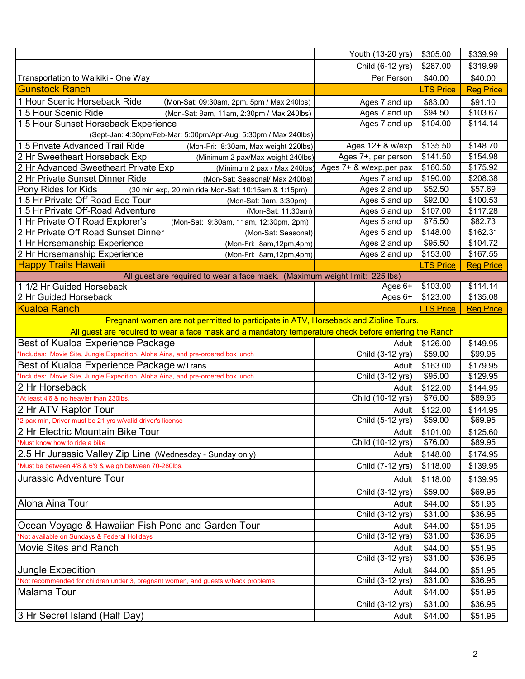| Child (6-12 yrs)<br>\$287.00<br>\$319.99<br>Transportation to Waikiki - One Way<br>Per Person<br>\$40.00<br>\$40.00<br><b>LTS Price</b><br><b>Reg Price</b><br>\$83.00<br>\$91.10<br>(Mon-Sat: 09:30am, 2pm, 5pm / Max 240lbs)<br>Ages 7 and up<br>\$94.50<br>\$103.67<br>1.5 Hour Scenic Ride<br>Ages 7 and up<br>(Mon-Sat: 9am, 11am, 2:30pm / Max 240lbs)<br>1.5 Hour Sunset Horseback Experience<br>\$104.00<br>Ages 7 and up<br>\$114.14<br>(Sept-Jan: 4:30pm/Feb-Mar: 5:00pm/Apr-Aug: 5:30pm / Max 240lbs)<br>\$135.50<br>\$148.70<br>Ages $12+ 8$ w/exp<br>(Mon-Fri: 8:30am, Max weight 220lbs)<br>Ages 7+, per person<br>\$141.50<br>\$154.98<br>(Minimum 2 pax/Max weight 240lbs)<br>Ages 7+ & w/exp,per pax<br>\$160.50<br>\$175.92<br>(Minimum 2 pax / Max 240lbs)<br>\$190.00<br>\$208.38<br>Ages 7 and up<br>(Mon-Sat: Seasonal/ Max 240lbs)<br>Ages 2 and up<br>\$52.50<br>\$57.69<br>(30 min exp, 20 min ride Mon-Sat: 10:15am & 1:15pm)<br>\$92.00<br>\$100.53<br>Ages 5 and up<br>(Mon-Sat: 9am, 3:30pm)<br>\$107.00<br>\$117.28<br>Ages 5 and up<br>(Mon-Sat: 11:30am)<br>\$75.50<br>\$82.73<br>Ages 5 and up<br>(Mon-Sat: 9:30am, 11am, 12:30pm, 2pm)<br>\$148.00<br>\$162.31<br>Ages 5 and up<br>(Mon-Sat: Seasonal)<br>\$95.50<br>Ages 2 and up<br>\$104.72<br>(Mon-Fri: 8am, 12pm, 4pm)<br>\$153.00<br>\$167.55<br>Ages 2 and up<br>(Mon-Fri: 8am, 12pm, 4pm)<br><b>LTS Price</b><br><b>Reg Price</b><br>All guest are required to wear a face mask. (Maximum weight limit: 225 lbs)<br>\$103.00<br>\$114.14<br>Ages $6+$<br>2 Hr Guided Horseback<br>\$123.00<br>\$135.08<br>Ages 6+<br><b>LTS Price</b><br><b>Reg Price</b><br>Pregnant women are not permitted to participate in ATV, Horseback and Zipline Tours.<br>All guest are required to wear a face mask and a mandatory temperature check before entering the Ranch<br>Best of Kualoa Experience Package<br>\$126.00<br>\$149.95<br>Adult<br>Child $(3-12 \text{ yrs})$<br>\$59.00<br>\$99.95<br>*Includes: Movie Site, Jungle Expedition, Aloha Aina, and pre-ordered box lunch<br>Best of Kualoa Experience Package w/Trans<br>\$163.00<br>Adult<br>\$179.95<br>Child (3-12 yrs)<br>\$95.00<br>*Includes: Movie Site, Jungle Expedition, Aloha Aina, and pre-ordered box lunch<br>\$129.95<br>2 Hr Horseback<br>\$122.00<br>\$144.95<br>Adult<br>*At least 4'6 & no heavier than 230lbs.<br>Child (10-12 yrs)<br>\$76.00<br>\$89.95<br>2 Hr ATV Raptor Tour<br>\$122.00<br>\$144.95<br>Adult<br>*2 pax min, Driver must be 21 yrs w/valid driver's license<br>Child (5-12 yrs)<br>\$59.00<br>\$69.95<br>2 Hr Electric Mountain Bike Tour<br>Adult \$101.00<br>\$125.60<br>*Must know how to ride a bike<br>Child (10-12 yrs)<br>\$76.00<br>\$89.95<br>2.5 Hr Jurassic Valley Zip Line (Wednesday - Sunday only)<br>\$148.00<br>\$174.95<br>Adult<br>*Must be between 4'8 & 6'9 & weigh between 70-280lbs.<br>\$118.00<br>Child (7-12 yrs)<br>\$139.95<br>\$118.00<br>\$139.95<br>Adult<br>Child (3-12 yrs)<br>\$59.00<br>\$69.95<br>\$44.00<br>\$51.95<br>Adult<br>Child (3-12 yrs)<br>\$31.00<br>\$36.95<br>\$44.00<br>\$51.95<br>Adult<br>Child (3-12 yrs)<br>\$31.00<br>\$36.95<br>Adult<br>\$44.00<br>\$51.95<br>Child (3-12 yrs)<br>\$31.00<br>\$36.95<br>\$44.00<br>\$51.95<br>Adult<br>Child (3-12 yrs)<br>\$31.00<br>\$36.95<br>\$44.00<br>\$51.95<br>Adult<br>\$31.00<br>\$36.95<br>Child (3-12 yrs)<br>3 Hr Secret Island (Half Day)<br>\$44.00<br>\$51.95<br>Adult |                                                                                   | Youth (13-20 yrs) | \$305.00 | \$339.99 |
|-------------------------------------------------------------------------------------------------------------------------------------------------------------------------------------------------------------------------------------------------------------------------------------------------------------------------------------------------------------------------------------------------------------------------------------------------------------------------------------------------------------------------------------------------------------------------------------------------------------------------------------------------------------------------------------------------------------------------------------------------------------------------------------------------------------------------------------------------------------------------------------------------------------------------------------------------------------------------------------------------------------------------------------------------------------------------------------------------------------------------------------------------------------------------------------------------------------------------------------------------------------------------------------------------------------------------------------------------------------------------------------------------------------------------------------------------------------------------------------------------------------------------------------------------------------------------------------------------------------------------------------------------------------------------------------------------------------------------------------------------------------------------------------------------------------------------------------------------------------------------------------------------------------------------------------------------------------------------------------------------------------------------------------------------------------------------------------------------------------------------------------------------------------------------------------------------------------------------------------------------------------------------------------------------------------------------------------------------------------------------------------------------------------------------------------------------------------------------------------------------------------------------------------------------------------------------------------------------------------------------------------------------------------------------------------------------------------------------------------------------------------------------------------------------------------------------------------------------------------------------------------------------------------------------------------------------------------------------------------------------------------------------------------------------------------------------------------------------------------------------------------------------------------------------------------------------------------------------------------------------------------------------------------------------------------------------------------------------------------------------------------------------------------------------------------------------------------------|-----------------------------------------------------------------------------------|-------------------|----------|----------|
|                                                                                                                                                                                                                                                                                                                                                                                                                                                                                                                                                                                                                                                                                                                                                                                                                                                                                                                                                                                                                                                                                                                                                                                                                                                                                                                                                                                                                                                                                                                                                                                                                                                                                                                                                                                                                                                                                                                                                                                                                                                                                                                                                                                                                                                                                                                                                                                                                                                                                                                                                                                                                                                                                                                                                                                                                                                                                                                                                                                                                                                                                                                                                                                                                                                                                                                                                                                                                                                                   |                                                                                   |                   |          |          |
|                                                                                                                                                                                                                                                                                                                                                                                                                                                                                                                                                                                                                                                                                                                                                                                                                                                                                                                                                                                                                                                                                                                                                                                                                                                                                                                                                                                                                                                                                                                                                                                                                                                                                                                                                                                                                                                                                                                                                                                                                                                                                                                                                                                                                                                                                                                                                                                                                                                                                                                                                                                                                                                                                                                                                                                                                                                                                                                                                                                                                                                                                                                                                                                                                                                                                                                                                                                                                                                                   |                                                                                   |                   |          |          |
|                                                                                                                                                                                                                                                                                                                                                                                                                                                                                                                                                                                                                                                                                                                                                                                                                                                                                                                                                                                                                                                                                                                                                                                                                                                                                                                                                                                                                                                                                                                                                                                                                                                                                                                                                                                                                                                                                                                                                                                                                                                                                                                                                                                                                                                                                                                                                                                                                                                                                                                                                                                                                                                                                                                                                                                                                                                                                                                                                                                                                                                                                                                                                                                                                                                                                                                                                                                                                                                                   | <b>Gunstock Ranch</b>                                                             |                   |          |          |
|                                                                                                                                                                                                                                                                                                                                                                                                                                                                                                                                                                                                                                                                                                                                                                                                                                                                                                                                                                                                                                                                                                                                                                                                                                                                                                                                                                                                                                                                                                                                                                                                                                                                                                                                                                                                                                                                                                                                                                                                                                                                                                                                                                                                                                                                                                                                                                                                                                                                                                                                                                                                                                                                                                                                                                                                                                                                                                                                                                                                                                                                                                                                                                                                                                                                                                                                                                                                                                                                   | 1 Hour Scenic Horseback Ride                                                      |                   |          |          |
|                                                                                                                                                                                                                                                                                                                                                                                                                                                                                                                                                                                                                                                                                                                                                                                                                                                                                                                                                                                                                                                                                                                                                                                                                                                                                                                                                                                                                                                                                                                                                                                                                                                                                                                                                                                                                                                                                                                                                                                                                                                                                                                                                                                                                                                                                                                                                                                                                                                                                                                                                                                                                                                                                                                                                                                                                                                                                                                                                                                                                                                                                                                                                                                                                                                                                                                                                                                                                                                                   |                                                                                   |                   |          |          |
|                                                                                                                                                                                                                                                                                                                                                                                                                                                                                                                                                                                                                                                                                                                                                                                                                                                                                                                                                                                                                                                                                                                                                                                                                                                                                                                                                                                                                                                                                                                                                                                                                                                                                                                                                                                                                                                                                                                                                                                                                                                                                                                                                                                                                                                                                                                                                                                                                                                                                                                                                                                                                                                                                                                                                                                                                                                                                                                                                                                                                                                                                                                                                                                                                                                                                                                                                                                                                                                                   |                                                                                   |                   |          |          |
|                                                                                                                                                                                                                                                                                                                                                                                                                                                                                                                                                                                                                                                                                                                                                                                                                                                                                                                                                                                                                                                                                                                                                                                                                                                                                                                                                                                                                                                                                                                                                                                                                                                                                                                                                                                                                                                                                                                                                                                                                                                                                                                                                                                                                                                                                                                                                                                                                                                                                                                                                                                                                                                                                                                                                                                                                                                                                                                                                                                                                                                                                                                                                                                                                                                                                                                                                                                                                                                                   |                                                                                   |                   |          |          |
|                                                                                                                                                                                                                                                                                                                                                                                                                                                                                                                                                                                                                                                                                                                                                                                                                                                                                                                                                                                                                                                                                                                                                                                                                                                                                                                                                                                                                                                                                                                                                                                                                                                                                                                                                                                                                                                                                                                                                                                                                                                                                                                                                                                                                                                                                                                                                                                                                                                                                                                                                                                                                                                                                                                                                                                                                                                                                                                                                                                                                                                                                                                                                                                                                                                                                                                                                                                                                                                                   | 1.5 Private Advanced Trail Ride                                                   |                   |          |          |
|                                                                                                                                                                                                                                                                                                                                                                                                                                                                                                                                                                                                                                                                                                                                                                                                                                                                                                                                                                                                                                                                                                                                                                                                                                                                                                                                                                                                                                                                                                                                                                                                                                                                                                                                                                                                                                                                                                                                                                                                                                                                                                                                                                                                                                                                                                                                                                                                                                                                                                                                                                                                                                                                                                                                                                                                                                                                                                                                                                                                                                                                                                                                                                                                                                                                                                                                                                                                                                                                   | 2 Hr Sweetheart Horseback Exp                                                     |                   |          |          |
|                                                                                                                                                                                                                                                                                                                                                                                                                                                                                                                                                                                                                                                                                                                                                                                                                                                                                                                                                                                                                                                                                                                                                                                                                                                                                                                                                                                                                                                                                                                                                                                                                                                                                                                                                                                                                                                                                                                                                                                                                                                                                                                                                                                                                                                                                                                                                                                                                                                                                                                                                                                                                                                                                                                                                                                                                                                                                                                                                                                                                                                                                                                                                                                                                                                                                                                                                                                                                                                                   | 2 Hr Advanced Sweetheart Private Exp                                              |                   |          |          |
|                                                                                                                                                                                                                                                                                                                                                                                                                                                                                                                                                                                                                                                                                                                                                                                                                                                                                                                                                                                                                                                                                                                                                                                                                                                                                                                                                                                                                                                                                                                                                                                                                                                                                                                                                                                                                                                                                                                                                                                                                                                                                                                                                                                                                                                                                                                                                                                                                                                                                                                                                                                                                                                                                                                                                                                                                                                                                                                                                                                                                                                                                                                                                                                                                                                                                                                                                                                                                                                                   | 2 Hr Private Sunset Dinner Ride                                                   |                   |          |          |
|                                                                                                                                                                                                                                                                                                                                                                                                                                                                                                                                                                                                                                                                                                                                                                                                                                                                                                                                                                                                                                                                                                                                                                                                                                                                                                                                                                                                                                                                                                                                                                                                                                                                                                                                                                                                                                                                                                                                                                                                                                                                                                                                                                                                                                                                                                                                                                                                                                                                                                                                                                                                                                                                                                                                                                                                                                                                                                                                                                                                                                                                                                                                                                                                                                                                                                                                                                                                                                                                   | Pony Rides for Kids                                                               |                   |          |          |
|                                                                                                                                                                                                                                                                                                                                                                                                                                                                                                                                                                                                                                                                                                                                                                                                                                                                                                                                                                                                                                                                                                                                                                                                                                                                                                                                                                                                                                                                                                                                                                                                                                                                                                                                                                                                                                                                                                                                                                                                                                                                                                                                                                                                                                                                                                                                                                                                                                                                                                                                                                                                                                                                                                                                                                                                                                                                                                                                                                                                                                                                                                                                                                                                                                                                                                                                                                                                                                                                   | 1.5 Hr Private Off Road Eco Tour                                                  |                   |          |          |
|                                                                                                                                                                                                                                                                                                                                                                                                                                                                                                                                                                                                                                                                                                                                                                                                                                                                                                                                                                                                                                                                                                                                                                                                                                                                                                                                                                                                                                                                                                                                                                                                                                                                                                                                                                                                                                                                                                                                                                                                                                                                                                                                                                                                                                                                                                                                                                                                                                                                                                                                                                                                                                                                                                                                                                                                                                                                                                                                                                                                                                                                                                                                                                                                                                                                                                                                                                                                                                                                   | 1.5 Hr Private Off-Road Adventure                                                 |                   |          |          |
|                                                                                                                                                                                                                                                                                                                                                                                                                                                                                                                                                                                                                                                                                                                                                                                                                                                                                                                                                                                                                                                                                                                                                                                                                                                                                                                                                                                                                                                                                                                                                                                                                                                                                                                                                                                                                                                                                                                                                                                                                                                                                                                                                                                                                                                                                                                                                                                                                                                                                                                                                                                                                                                                                                                                                                                                                                                                                                                                                                                                                                                                                                                                                                                                                                                                                                                                                                                                                                                                   | 1 Hr Private Off Road Explorer's                                                  |                   |          |          |
|                                                                                                                                                                                                                                                                                                                                                                                                                                                                                                                                                                                                                                                                                                                                                                                                                                                                                                                                                                                                                                                                                                                                                                                                                                                                                                                                                                                                                                                                                                                                                                                                                                                                                                                                                                                                                                                                                                                                                                                                                                                                                                                                                                                                                                                                                                                                                                                                                                                                                                                                                                                                                                                                                                                                                                                                                                                                                                                                                                                                                                                                                                                                                                                                                                                                                                                                                                                                                                                                   | 2 Hr Private Off Road Sunset Dinner                                               |                   |          |          |
|                                                                                                                                                                                                                                                                                                                                                                                                                                                                                                                                                                                                                                                                                                                                                                                                                                                                                                                                                                                                                                                                                                                                                                                                                                                                                                                                                                                                                                                                                                                                                                                                                                                                                                                                                                                                                                                                                                                                                                                                                                                                                                                                                                                                                                                                                                                                                                                                                                                                                                                                                                                                                                                                                                                                                                                                                                                                                                                                                                                                                                                                                                                                                                                                                                                                                                                                                                                                                                                                   | 1 Hr Horsemanship Experience                                                      |                   |          |          |
|                                                                                                                                                                                                                                                                                                                                                                                                                                                                                                                                                                                                                                                                                                                                                                                                                                                                                                                                                                                                                                                                                                                                                                                                                                                                                                                                                                                                                                                                                                                                                                                                                                                                                                                                                                                                                                                                                                                                                                                                                                                                                                                                                                                                                                                                                                                                                                                                                                                                                                                                                                                                                                                                                                                                                                                                                                                                                                                                                                                                                                                                                                                                                                                                                                                                                                                                                                                                                                                                   | 2 Hr Horsemanship Experience                                                      |                   |          |          |
|                                                                                                                                                                                                                                                                                                                                                                                                                                                                                                                                                                                                                                                                                                                                                                                                                                                                                                                                                                                                                                                                                                                                                                                                                                                                                                                                                                                                                                                                                                                                                                                                                                                                                                                                                                                                                                                                                                                                                                                                                                                                                                                                                                                                                                                                                                                                                                                                                                                                                                                                                                                                                                                                                                                                                                                                                                                                                                                                                                                                                                                                                                                                                                                                                                                                                                                                                                                                                                                                   | <b>Happy Trails Hawaii</b>                                                        |                   |          |          |
|                                                                                                                                                                                                                                                                                                                                                                                                                                                                                                                                                                                                                                                                                                                                                                                                                                                                                                                                                                                                                                                                                                                                                                                                                                                                                                                                                                                                                                                                                                                                                                                                                                                                                                                                                                                                                                                                                                                                                                                                                                                                                                                                                                                                                                                                                                                                                                                                                                                                                                                                                                                                                                                                                                                                                                                                                                                                                                                                                                                                                                                                                                                                                                                                                                                                                                                                                                                                                                                                   |                                                                                   |                   |          |          |
|                                                                                                                                                                                                                                                                                                                                                                                                                                                                                                                                                                                                                                                                                                                                                                                                                                                                                                                                                                                                                                                                                                                                                                                                                                                                                                                                                                                                                                                                                                                                                                                                                                                                                                                                                                                                                                                                                                                                                                                                                                                                                                                                                                                                                                                                                                                                                                                                                                                                                                                                                                                                                                                                                                                                                                                                                                                                                                                                                                                                                                                                                                                                                                                                                                                                                                                                                                                                                                                                   | 1 1/2 Hr Guided Horseback                                                         |                   |          |          |
|                                                                                                                                                                                                                                                                                                                                                                                                                                                                                                                                                                                                                                                                                                                                                                                                                                                                                                                                                                                                                                                                                                                                                                                                                                                                                                                                                                                                                                                                                                                                                                                                                                                                                                                                                                                                                                                                                                                                                                                                                                                                                                                                                                                                                                                                                                                                                                                                                                                                                                                                                                                                                                                                                                                                                                                                                                                                                                                                                                                                                                                                                                                                                                                                                                                                                                                                                                                                                                                                   |                                                                                   |                   |          |          |
|                                                                                                                                                                                                                                                                                                                                                                                                                                                                                                                                                                                                                                                                                                                                                                                                                                                                                                                                                                                                                                                                                                                                                                                                                                                                                                                                                                                                                                                                                                                                                                                                                                                                                                                                                                                                                                                                                                                                                                                                                                                                                                                                                                                                                                                                                                                                                                                                                                                                                                                                                                                                                                                                                                                                                                                                                                                                                                                                                                                                                                                                                                                                                                                                                                                                                                                                                                                                                                                                   | <b>Kualoa Ranch</b>                                                               |                   |          |          |
|                                                                                                                                                                                                                                                                                                                                                                                                                                                                                                                                                                                                                                                                                                                                                                                                                                                                                                                                                                                                                                                                                                                                                                                                                                                                                                                                                                                                                                                                                                                                                                                                                                                                                                                                                                                                                                                                                                                                                                                                                                                                                                                                                                                                                                                                                                                                                                                                                                                                                                                                                                                                                                                                                                                                                                                                                                                                                                                                                                                                                                                                                                                                                                                                                                                                                                                                                                                                                                                                   |                                                                                   |                   |          |          |
|                                                                                                                                                                                                                                                                                                                                                                                                                                                                                                                                                                                                                                                                                                                                                                                                                                                                                                                                                                                                                                                                                                                                                                                                                                                                                                                                                                                                                                                                                                                                                                                                                                                                                                                                                                                                                                                                                                                                                                                                                                                                                                                                                                                                                                                                                                                                                                                                                                                                                                                                                                                                                                                                                                                                                                                                                                                                                                                                                                                                                                                                                                                                                                                                                                                                                                                                                                                                                                                                   |                                                                                   |                   |          |          |
|                                                                                                                                                                                                                                                                                                                                                                                                                                                                                                                                                                                                                                                                                                                                                                                                                                                                                                                                                                                                                                                                                                                                                                                                                                                                                                                                                                                                                                                                                                                                                                                                                                                                                                                                                                                                                                                                                                                                                                                                                                                                                                                                                                                                                                                                                                                                                                                                                                                                                                                                                                                                                                                                                                                                                                                                                                                                                                                                                                                                                                                                                                                                                                                                                                                                                                                                                                                                                                                                   |                                                                                   |                   |          |          |
|                                                                                                                                                                                                                                                                                                                                                                                                                                                                                                                                                                                                                                                                                                                                                                                                                                                                                                                                                                                                                                                                                                                                                                                                                                                                                                                                                                                                                                                                                                                                                                                                                                                                                                                                                                                                                                                                                                                                                                                                                                                                                                                                                                                                                                                                                                                                                                                                                                                                                                                                                                                                                                                                                                                                                                                                                                                                                                                                                                                                                                                                                                                                                                                                                                                                                                                                                                                                                                                                   |                                                                                   |                   |          |          |
|                                                                                                                                                                                                                                                                                                                                                                                                                                                                                                                                                                                                                                                                                                                                                                                                                                                                                                                                                                                                                                                                                                                                                                                                                                                                                                                                                                                                                                                                                                                                                                                                                                                                                                                                                                                                                                                                                                                                                                                                                                                                                                                                                                                                                                                                                                                                                                                                                                                                                                                                                                                                                                                                                                                                                                                                                                                                                                                                                                                                                                                                                                                                                                                                                                                                                                                                                                                                                                                                   |                                                                                   |                   |          |          |
|                                                                                                                                                                                                                                                                                                                                                                                                                                                                                                                                                                                                                                                                                                                                                                                                                                                                                                                                                                                                                                                                                                                                                                                                                                                                                                                                                                                                                                                                                                                                                                                                                                                                                                                                                                                                                                                                                                                                                                                                                                                                                                                                                                                                                                                                                                                                                                                                                                                                                                                                                                                                                                                                                                                                                                                                                                                                                                                                                                                                                                                                                                                                                                                                                                                                                                                                                                                                                                                                   |                                                                                   |                   |          |          |
|                                                                                                                                                                                                                                                                                                                                                                                                                                                                                                                                                                                                                                                                                                                                                                                                                                                                                                                                                                                                                                                                                                                                                                                                                                                                                                                                                                                                                                                                                                                                                                                                                                                                                                                                                                                                                                                                                                                                                                                                                                                                                                                                                                                                                                                                                                                                                                                                                                                                                                                                                                                                                                                                                                                                                                                                                                                                                                                                                                                                                                                                                                                                                                                                                                                                                                                                                                                                                                                                   |                                                                                   |                   |          |          |
|                                                                                                                                                                                                                                                                                                                                                                                                                                                                                                                                                                                                                                                                                                                                                                                                                                                                                                                                                                                                                                                                                                                                                                                                                                                                                                                                                                                                                                                                                                                                                                                                                                                                                                                                                                                                                                                                                                                                                                                                                                                                                                                                                                                                                                                                                                                                                                                                                                                                                                                                                                                                                                                                                                                                                                                                                                                                                                                                                                                                                                                                                                                                                                                                                                                                                                                                                                                                                                                                   |                                                                                   |                   |          |          |
|                                                                                                                                                                                                                                                                                                                                                                                                                                                                                                                                                                                                                                                                                                                                                                                                                                                                                                                                                                                                                                                                                                                                                                                                                                                                                                                                                                                                                                                                                                                                                                                                                                                                                                                                                                                                                                                                                                                                                                                                                                                                                                                                                                                                                                                                                                                                                                                                                                                                                                                                                                                                                                                                                                                                                                                                                                                                                                                                                                                                                                                                                                                                                                                                                                                                                                                                                                                                                                                                   |                                                                                   |                   |          |          |
|                                                                                                                                                                                                                                                                                                                                                                                                                                                                                                                                                                                                                                                                                                                                                                                                                                                                                                                                                                                                                                                                                                                                                                                                                                                                                                                                                                                                                                                                                                                                                                                                                                                                                                                                                                                                                                                                                                                                                                                                                                                                                                                                                                                                                                                                                                                                                                                                                                                                                                                                                                                                                                                                                                                                                                                                                                                                                                                                                                                                                                                                                                                                                                                                                                                                                                                                                                                                                                                                   |                                                                                   |                   |          |          |
|                                                                                                                                                                                                                                                                                                                                                                                                                                                                                                                                                                                                                                                                                                                                                                                                                                                                                                                                                                                                                                                                                                                                                                                                                                                                                                                                                                                                                                                                                                                                                                                                                                                                                                                                                                                                                                                                                                                                                                                                                                                                                                                                                                                                                                                                                                                                                                                                                                                                                                                                                                                                                                                                                                                                                                                                                                                                                                                                                                                                                                                                                                                                                                                                                                                                                                                                                                                                                                                                   |                                                                                   |                   |          |          |
|                                                                                                                                                                                                                                                                                                                                                                                                                                                                                                                                                                                                                                                                                                                                                                                                                                                                                                                                                                                                                                                                                                                                                                                                                                                                                                                                                                                                                                                                                                                                                                                                                                                                                                                                                                                                                                                                                                                                                                                                                                                                                                                                                                                                                                                                                                                                                                                                                                                                                                                                                                                                                                                                                                                                                                                                                                                                                                                                                                                                                                                                                                                                                                                                                                                                                                                                                                                                                                                                   |                                                                                   |                   |          |          |
|                                                                                                                                                                                                                                                                                                                                                                                                                                                                                                                                                                                                                                                                                                                                                                                                                                                                                                                                                                                                                                                                                                                                                                                                                                                                                                                                                                                                                                                                                                                                                                                                                                                                                                                                                                                                                                                                                                                                                                                                                                                                                                                                                                                                                                                                                                                                                                                                                                                                                                                                                                                                                                                                                                                                                                                                                                                                                                                                                                                                                                                                                                                                                                                                                                                                                                                                                                                                                                                                   |                                                                                   |                   |          |          |
|                                                                                                                                                                                                                                                                                                                                                                                                                                                                                                                                                                                                                                                                                                                                                                                                                                                                                                                                                                                                                                                                                                                                                                                                                                                                                                                                                                                                                                                                                                                                                                                                                                                                                                                                                                                                                                                                                                                                                                                                                                                                                                                                                                                                                                                                                                                                                                                                                                                                                                                                                                                                                                                                                                                                                                                                                                                                                                                                                                                                                                                                                                                                                                                                                                                                                                                                                                                                                                                                   |                                                                                   |                   |          |          |
|                                                                                                                                                                                                                                                                                                                                                                                                                                                                                                                                                                                                                                                                                                                                                                                                                                                                                                                                                                                                                                                                                                                                                                                                                                                                                                                                                                                                                                                                                                                                                                                                                                                                                                                                                                                                                                                                                                                                                                                                                                                                                                                                                                                                                                                                                                                                                                                                                                                                                                                                                                                                                                                                                                                                                                                                                                                                                                                                                                                                                                                                                                                                                                                                                                                                                                                                                                                                                                                                   | Jurassic Adventure Tour                                                           |                   |          |          |
|                                                                                                                                                                                                                                                                                                                                                                                                                                                                                                                                                                                                                                                                                                                                                                                                                                                                                                                                                                                                                                                                                                                                                                                                                                                                                                                                                                                                                                                                                                                                                                                                                                                                                                                                                                                                                                                                                                                                                                                                                                                                                                                                                                                                                                                                                                                                                                                                                                                                                                                                                                                                                                                                                                                                                                                                                                                                                                                                                                                                                                                                                                                                                                                                                                                                                                                                                                                                                                                                   |                                                                                   |                   |          |          |
|                                                                                                                                                                                                                                                                                                                                                                                                                                                                                                                                                                                                                                                                                                                                                                                                                                                                                                                                                                                                                                                                                                                                                                                                                                                                                                                                                                                                                                                                                                                                                                                                                                                                                                                                                                                                                                                                                                                                                                                                                                                                                                                                                                                                                                                                                                                                                                                                                                                                                                                                                                                                                                                                                                                                                                                                                                                                                                                                                                                                                                                                                                                                                                                                                                                                                                                                                                                                                                                                   | Aloha Aina Tour                                                                   |                   |          |          |
|                                                                                                                                                                                                                                                                                                                                                                                                                                                                                                                                                                                                                                                                                                                                                                                                                                                                                                                                                                                                                                                                                                                                                                                                                                                                                                                                                                                                                                                                                                                                                                                                                                                                                                                                                                                                                                                                                                                                                                                                                                                                                                                                                                                                                                                                                                                                                                                                                                                                                                                                                                                                                                                                                                                                                                                                                                                                                                                                                                                                                                                                                                                                                                                                                                                                                                                                                                                                                                                                   |                                                                                   |                   |          |          |
|                                                                                                                                                                                                                                                                                                                                                                                                                                                                                                                                                                                                                                                                                                                                                                                                                                                                                                                                                                                                                                                                                                                                                                                                                                                                                                                                                                                                                                                                                                                                                                                                                                                                                                                                                                                                                                                                                                                                                                                                                                                                                                                                                                                                                                                                                                                                                                                                                                                                                                                                                                                                                                                                                                                                                                                                                                                                                                                                                                                                                                                                                                                                                                                                                                                                                                                                                                                                                                                                   | Ocean Voyage & Hawaiian Fish Pond and Garden Tour                                 |                   |          |          |
|                                                                                                                                                                                                                                                                                                                                                                                                                                                                                                                                                                                                                                                                                                                                                                                                                                                                                                                                                                                                                                                                                                                                                                                                                                                                                                                                                                                                                                                                                                                                                                                                                                                                                                                                                                                                                                                                                                                                                                                                                                                                                                                                                                                                                                                                                                                                                                                                                                                                                                                                                                                                                                                                                                                                                                                                                                                                                                                                                                                                                                                                                                                                                                                                                                                                                                                                                                                                                                                                   | *Not available on Sundays & Federal Holidays                                      |                   |          |          |
|                                                                                                                                                                                                                                                                                                                                                                                                                                                                                                                                                                                                                                                                                                                                                                                                                                                                                                                                                                                                                                                                                                                                                                                                                                                                                                                                                                                                                                                                                                                                                                                                                                                                                                                                                                                                                                                                                                                                                                                                                                                                                                                                                                                                                                                                                                                                                                                                                                                                                                                                                                                                                                                                                                                                                                                                                                                                                                                                                                                                                                                                                                                                                                                                                                                                                                                                                                                                                                                                   | Movie Sites and Ranch                                                             |                   |          |          |
|                                                                                                                                                                                                                                                                                                                                                                                                                                                                                                                                                                                                                                                                                                                                                                                                                                                                                                                                                                                                                                                                                                                                                                                                                                                                                                                                                                                                                                                                                                                                                                                                                                                                                                                                                                                                                                                                                                                                                                                                                                                                                                                                                                                                                                                                                                                                                                                                                                                                                                                                                                                                                                                                                                                                                                                                                                                                                                                                                                                                                                                                                                                                                                                                                                                                                                                                                                                                                                                                   |                                                                                   |                   |          |          |
|                                                                                                                                                                                                                                                                                                                                                                                                                                                                                                                                                                                                                                                                                                                                                                                                                                                                                                                                                                                                                                                                                                                                                                                                                                                                                                                                                                                                                                                                                                                                                                                                                                                                                                                                                                                                                                                                                                                                                                                                                                                                                                                                                                                                                                                                                                                                                                                                                                                                                                                                                                                                                                                                                                                                                                                                                                                                                                                                                                                                                                                                                                                                                                                                                                                                                                                                                                                                                                                                   | <b>Jungle Expedition</b>                                                          |                   |          |          |
|                                                                                                                                                                                                                                                                                                                                                                                                                                                                                                                                                                                                                                                                                                                                                                                                                                                                                                                                                                                                                                                                                                                                                                                                                                                                                                                                                                                                                                                                                                                                                                                                                                                                                                                                                                                                                                                                                                                                                                                                                                                                                                                                                                                                                                                                                                                                                                                                                                                                                                                                                                                                                                                                                                                                                                                                                                                                                                                                                                                                                                                                                                                                                                                                                                                                                                                                                                                                                                                                   | *Not recommended for children under 3, pregnant women, and guests w/back problems |                   |          |          |
|                                                                                                                                                                                                                                                                                                                                                                                                                                                                                                                                                                                                                                                                                                                                                                                                                                                                                                                                                                                                                                                                                                                                                                                                                                                                                                                                                                                                                                                                                                                                                                                                                                                                                                                                                                                                                                                                                                                                                                                                                                                                                                                                                                                                                                                                                                                                                                                                                                                                                                                                                                                                                                                                                                                                                                                                                                                                                                                                                                                                                                                                                                                                                                                                                                                                                                                                                                                                                                                                   | Malama Tour                                                                       |                   |          |          |
|                                                                                                                                                                                                                                                                                                                                                                                                                                                                                                                                                                                                                                                                                                                                                                                                                                                                                                                                                                                                                                                                                                                                                                                                                                                                                                                                                                                                                                                                                                                                                                                                                                                                                                                                                                                                                                                                                                                                                                                                                                                                                                                                                                                                                                                                                                                                                                                                                                                                                                                                                                                                                                                                                                                                                                                                                                                                                                                                                                                                                                                                                                                                                                                                                                                                                                                                                                                                                                                                   |                                                                                   |                   |          |          |
|                                                                                                                                                                                                                                                                                                                                                                                                                                                                                                                                                                                                                                                                                                                                                                                                                                                                                                                                                                                                                                                                                                                                                                                                                                                                                                                                                                                                                                                                                                                                                                                                                                                                                                                                                                                                                                                                                                                                                                                                                                                                                                                                                                                                                                                                                                                                                                                                                                                                                                                                                                                                                                                                                                                                                                                                                                                                                                                                                                                                                                                                                                                                                                                                                                                                                                                                                                                                                                                                   |                                                                                   |                   |          |          |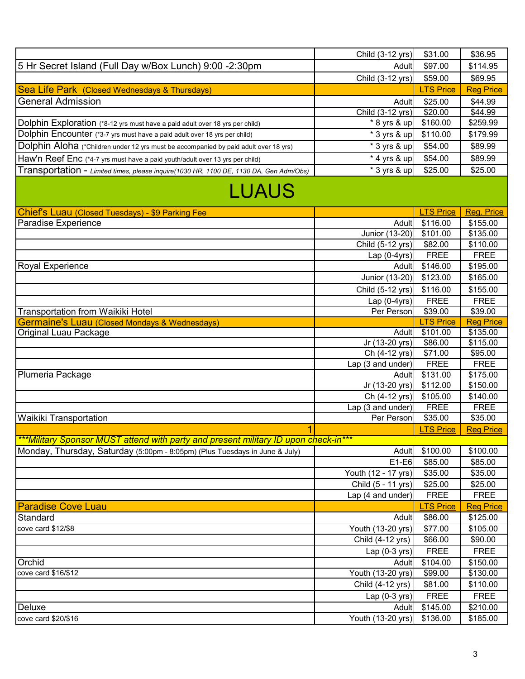|                                                                                        | Child (3-12 yrs)           | \$31.00                | \$36.95                |
|----------------------------------------------------------------------------------------|----------------------------|------------------------|------------------------|
| 5 Hr Secret Island (Full Day w/Box Lunch) 9:00 -2:30pm                                 | Adult                      | \$97.00                | \$114.95               |
|                                                                                        | Child (3-12 yrs)           | \$59.00                | \$69.95                |
| Sea Life Park (Closed Wednesdays & Thursdays)                                          |                            | <b>LTS Price</b>       | <b>Reg Price</b>       |
| <b>General Admission</b>                                                               | Adult                      | \$25.00                | \$44.99                |
|                                                                                        | Child (3-12 yrs)           | \$20.00                | \$44.99                |
| Dolphin Exploration (*8-12 yrs must have a paid adult over 18 yrs per child)           | * 8 yrs & up               | \$160.00               | \$259.99               |
| Dolphin Encounter (*3-7 yrs must have a paid adult over 18 yrs per child)              | * 3 yrs & up               | \$110.00               | \$179.99               |
| Dolphin Aloha (*Children under 12 yrs must be accompanied by paid adult over 18 yrs)   | * 3 yrs & up               | \$54.00                | \$89.99                |
| Haw'n Reef Enc (*4-7 yrs must have a paid youth/adult over 13 yrs per child)           | * 4 yrs & up               | \$54.00                | \$89.99                |
| Transportation - Limited times, please inquire(1030 HR, 1100 DE, 1130 DA, Gen Adm/Obs) | * 3 yrs & up               | \$25.00                | \$25.00                |
| LUAUS                                                                                  |                            |                        |                        |
| Chief's Luau (Closed Tuesdays) - \$9 Parking Fee                                       |                            | <b>LTS Price</b>       | <b>Reg. Price</b>      |
| <b>Paradise Experience</b>                                                             | Adult                      | \$116.00               | \$155.00               |
|                                                                                        | Junior (13-20)             | \$101.00               | \$135.00               |
|                                                                                        | Child (5-12 yrs)           | \$82.00                | \$110.00               |
|                                                                                        | Lap $(0-4yrs)$             | <b>FREE</b>            | <b>FREE</b>            |
| Royal Experience                                                                       | Adult                      | \$146.00               | \$195.00               |
|                                                                                        | Junior (13-20)             | \$123.00               | \$165.00               |
|                                                                                        | Child (5-12 yrs)           | \$116.00               | \$155.00               |
|                                                                                        | Lap $(0-4yrs)$             | <b>FREE</b>            | <b>FREE</b>            |
| Transportation from Waikiki Hotel                                                      | Per Person                 | \$39.00                | \$39.00                |
| Germaine's Luau (Closed Mondays & Wednesdays)                                          |                            | <b>LTS Price</b>       | <b>Reg Price</b>       |
| Original Luau Package                                                                  | Adult                      | \$101.00               | \$135.00               |
|                                                                                        | Jr (13-20 yrs)             | \$86.00                | \$115.00               |
|                                                                                        | Ch (4-12 yrs)              | \$71.00<br><b>FREE</b> | \$95.00<br><b>FREE</b> |
|                                                                                        | Lap (3 and under)<br>Adult | \$131.00               | \$175.00               |
| Plumeria Package                                                                       | Jr (13-20 yrs)             | \$112.00               | \$150.00               |
|                                                                                        | Ch (4-12 yrs)              | \$105.00               | \$140.00               |
|                                                                                        | Lap (3 and under)          | <b>FREE</b>            | <b>FREE</b>            |
| <b>Waikiki Transportation</b>                                                          | Per Person                 | \$35.00                | \$35.00                |
| 1                                                                                      |                            | <b>LTS Price</b>       | <b>Reg Price</b>       |
| ***Military Sponsor MUST attend with party and present military ID upon check-in***    |                            |                        |                        |
| Monday, Thursday, Saturday (5:00pm - 8:05pm) (Plus Tuesdays in June & July)            | Adult                      | \$100.00               | \$100.00               |
|                                                                                        | E1-E6                      | \$85.00                | \$85.00                |
|                                                                                        | Youth (12 - 17 yrs)        | \$35.00                | \$35.00                |
|                                                                                        | Child (5 - 11 yrs)         | \$25.00                | \$25.00                |
|                                                                                        | Lap (4 and under)          | <b>FREE</b>            | <b>FREE</b>            |
| <b>Paradise Cove Luau</b>                                                              |                            | <b>LTS Price</b>       | <b>Reg Price</b>       |
| Standard                                                                               | Adult                      | \$86.00                | \$125.00               |
| cove card \$12/\$8                                                                     | Youth (13-20 yrs)          | \$77.00                | \$105.00               |
|                                                                                        | Child (4-12 yrs)           | \$66.00                | \$90.00                |
|                                                                                        | Lap $(0-3$ yrs)            | <b>FREE</b>            | <b>FREE</b>            |
| Orchid                                                                                 | Adult                      | \$104.00               | \$150.00               |
| cove card \$16/\$12                                                                    | Youth (13-20 yrs)          | \$99.00                | \$130.00               |
|                                                                                        | Child (4-12 yrs)           | \$81.00                | \$110.00               |
|                                                                                        | Lap $(0-3$ yrs)            | <b>FREE</b>            | <b>FREE</b>            |
| Deluxe                                                                                 | Adult                      | \$145.00               | \$210.00               |
| cove card \$20/\$16                                                                    | Youth (13-20 yrs)          | \$136.00               | \$185.00               |
|                                                                                        |                            |                        |                        |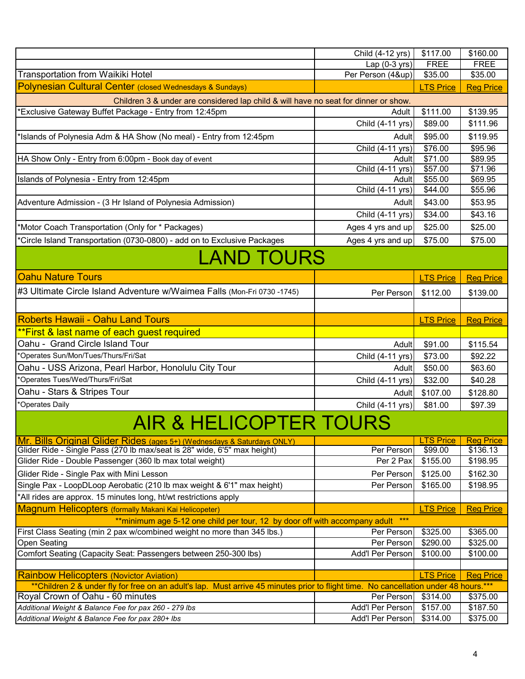|                                                                                                                                      | Child (4-12 yrs)          | \$117.00           | \$160.00           |
|--------------------------------------------------------------------------------------------------------------------------------------|---------------------------|--------------------|--------------------|
|                                                                                                                                      | Lap $(0-3$ yrs)           | <b>FREE</b>        | <b>FREE</b>        |
| Transportation from Waikiki Hotel                                                                                                    | Per Person (4&up)         | \$35.00            | \$35.00            |
| Polynesian Cultural Center (closed Wednesdays & Sundays)                                                                             |                           | <b>LTS Price</b>   | <b>Reg Price</b>   |
| Children 3 & under are considered lap child & will have no seat for dinner or show.                                                  |                           |                    |                    |
| *Exclusive Gateway Buffet Package - Entry from 12:45pm                                                                               | Adult                     | \$111.00           | \$139.95           |
|                                                                                                                                      | Child (4-11 yrs)          | \$89.00            | \$111.96           |
| *Islands of Polynesia Adm & HA Show (No meal) - Entry from 12:45pm                                                                   | Adult                     | \$95.00            | \$119.95           |
|                                                                                                                                      | Child (4-11 yrs)          | \$76.00            | \$95.96            |
| HA Show Only - Entry from 6:00pm - Book day of event                                                                                 | <b>Adult</b>              | \$71.00            | \$89.95            |
| Islands of Polynesia - Entry from 12:45pm                                                                                            | Child (4-11 yrs)<br>Adult | \$57.00<br>\$55.00 | \$71.96<br>\$69.95 |
|                                                                                                                                      | Child (4-11 yrs)          | \$44.00            | \$55.96            |
| Adventure Admission - (3 Hr Island of Polynesia Admission)                                                                           | Adult                     | \$43.00            | \$53.95            |
|                                                                                                                                      | Child (4-11 yrs)          | \$34.00            | \$43.16            |
| *Motor Coach Transportation (Only for * Packages)                                                                                    | Ages 4 yrs and up         | \$25.00            | \$25.00            |
| *Circle Island Transportation (0730-0800) - add on to Exclusive Packages                                                             | Ages 4 yrs and up         | \$75.00            | \$75.00            |
|                                                                                                                                      |                           |                    |                    |
| <b>LAND TOURS</b>                                                                                                                    |                           |                    |                    |
| <b>Oahu Nature Tours</b>                                                                                                             |                           | <b>LTS Price</b>   | <b>Reg Price</b>   |
| #3 Ultimate Circle Island Adventure w/Waimea Falls (Mon-Fri 0730 -1745)                                                              | Per Person                | \$112.00           | \$139.00           |
|                                                                                                                                      |                           |                    |                    |
| <b>Roberts Hawaii - Oahu Land Tours</b>                                                                                              |                           | <b>LTS Price</b>   | <b>Reg Price</b>   |
| **First & last name of each guest required                                                                                           |                           |                    |                    |
| Oahu - Grand Circle Island Tour                                                                                                      | Adult                     | \$91.00            | \$115.54           |
| *Operates Sun/Mon/Tues/Thurs/Fri/Sat                                                                                                 | Child (4-11 yrs)          | \$73.00            | \$92.22            |
| Oahu - USS Arizona, Pearl Harbor, Honolulu City Tour                                                                                 | Adult                     | \$50.00            | \$63.60            |
| *Operates Tues/Wed/Thurs/Fri/Sat                                                                                                     | Child (4-11 yrs)          | \$32.00            | \$40.28            |
| Oahu - Stars & Stripes Tour                                                                                                          | Adult                     | \$107.00           | \$128.80           |
| *Operates Daily                                                                                                                      | Child (4-11 yrs)          | \$81.00            | \$97.39            |
| AIR & HELICOPTER TOURS                                                                                                               |                           |                    |                    |
| Mr. Bills Original Glider Rides (ages 5+) (Wednesdays & Saturdays ONLY)                                                              |                           | <b>LTS Price</b>   | <b>Reg Price</b>   |
| Glider Ride - Single Pass (270 lb max/seat is 28" wide, 6'5" max height)                                                             | Per Person                | \$99.00            | \$136.13           |
| Glider Ride - Double Passenger (360 lb max total weight)                                                                             | Per 2 Pax                 | \$155.00           | \$198.95           |
| Glider Ride - Single Pax with Mini Lesson                                                                                            | Per Person                | \$125.00           | \$162.30           |
| Single Pax - LoopDLoop Aerobatic (210 lb max weight & 6'1" max height)                                                               | Per Person                | \$165.00           | \$198.95           |
| *All rides are approx. 15 minutes long, ht/wt restrictions apply                                                                     |                           |                    |                    |
| Magnum Helicopters (formally Makani Kai Helicopeter)                                                                                 |                           | <b>LTS Price</b>   | <b>Reg Price</b>   |
| ** minimum age 5-12 one child per tour, 12 by door off with accompany adult ***                                                      |                           |                    |                    |
| First Class Seating (min 2 pax w/combined weight no more than 345 lbs.)                                                              | Per Person                | \$325.00           | \$365.00           |
| <b>Open Seating</b>                                                                                                                  | Per Person                | \$290.00           | \$325.00           |
| Comfort Seating (Capacity Seat: Passengers between 250-300 lbs)                                                                      | Add'l Per Person          | \$100.00           | \$100.00           |
| <b>Rainbow Helicopters (Novictor Aviation)</b>                                                                                       |                           | <b>LTS Price</b>   | <b>Reg Price</b>   |
| **Children 2 & under fly for free on an adult's lap. Must arrive 45 minutes prior to flight time. No cancellation under 48 hours.*** |                           |                    |                    |
| Royal Crown of Oahu - 60 minutes                                                                                                     | Per Person                | \$314.00           | \$375.00           |
| Additional Weight & Balance Fee for pax 260 - 279 lbs                                                                                | Add'l Per Person          | \$157.00           | \$187.50           |
| Additional Weight & Balance Fee for pax 280+ lbs                                                                                     | Add'l Per Person          | \$314.00           | \$375.00           |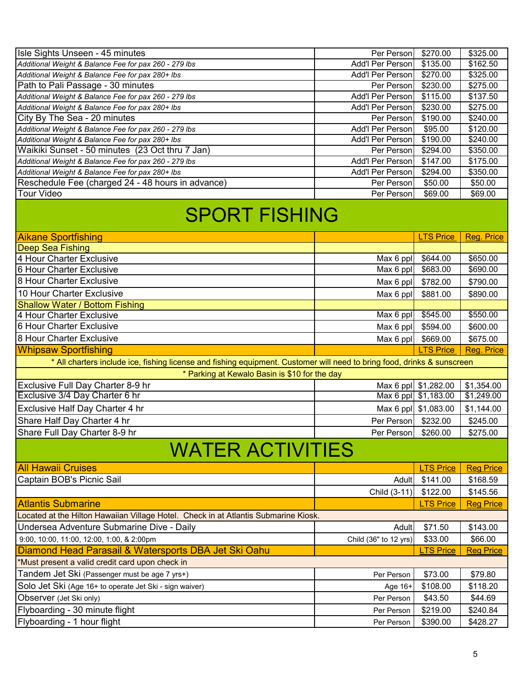| Isle Sights Unseen - 45 minutes                                                                                         | Per Person<br>Add'l Per Person | \$270.00             | \$325.00             |
|-------------------------------------------------------------------------------------------------------------------------|--------------------------------|----------------------|----------------------|
| Additional Weight & Balance Fee for pax 260 - 279 lbs<br>Additional Weight & Balance Fee for pax 280+ lbs               | Add'l Per Person               | \$135.00             | \$162.50             |
|                                                                                                                         |                                | \$270.00             | \$325.00             |
| Path to Pali Passage - 30 minutes                                                                                       | Per Person<br>Add'l Per Person | \$230.00<br>\$115.00 | \$275.00<br>\$137.50 |
| Additional Weight & Balance Fee for pax 260 - 279 lbs                                                                   | Add'l Per Person               |                      |                      |
| Additional Weight & Balance Fee for pax 280+ Ibs<br>City By The Sea - 20 minutes                                        | Per Person                     | \$230.00<br>\$190.00 | \$275.00<br>\$240.00 |
| Additional Weight & Balance Fee for pax 260 - 279 lbs                                                                   | Add'l Per Person               | \$95.00              | \$120.00             |
| Additional Weight & Balance Fee for pax 280+ lbs                                                                        | Add'l Per Person               | \$190.00             | \$240.00             |
| Waikiki Sunset - 50 minutes (23 Oct thru 7 Jan)                                                                         | Per Person                     | \$294.00             | \$350.00             |
| Additional Weight & Balance Fee for pax 260 - 279 lbs                                                                   | Add'l Per Person               | \$147.00             | \$175.00             |
| Additional Weight & Balance Fee for pax 280+ lbs                                                                        | Add'l Per Person               | \$294.00             | \$350.00             |
| Reschedule Fee (charged 24 - 48 hours in advance)                                                                       | Per Person                     | \$50.00              | \$50.00              |
| <b>Tour Video</b>                                                                                                       | Per Person                     | \$69.00              | \$69.00              |
|                                                                                                                         |                                |                      |                      |
| <b>SPORT FISHING</b>                                                                                                    |                                |                      |                      |
| <b>Aikane Sportfishing</b>                                                                                              |                                | <b>LTS Price</b>     | Reg. Price           |
| <b>Deep Sea Fishing</b>                                                                                                 |                                |                      |                      |
| 4 Hour Charter Exclusive                                                                                                | Max 6 ppl                      | \$644.00             | \$650.00             |
| 6 Hour Charter Exclusive                                                                                                | Max 6 ppl                      | \$683.00             | \$690.00             |
| 8 Hour Charter Exclusive                                                                                                | Max 6 ppl                      | \$782.00             | \$790.00             |
| 10 Hour Charter Exclusive                                                                                               | Max 6 ppl                      | \$881.00             | \$890.00             |
| <b>Shallow Water / Bottom Fishing</b>                                                                                   |                                |                      |                      |
| 4 Hour Charter Exclusive                                                                                                | Max 6 ppl                      | \$545.00             | \$550.00             |
| 6 Hour Charter Exclusive                                                                                                | Max 6 ppl                      | \$594.00             | \$600.00             |
|                                                                                                                         |                                |                      |                      |
|                                                                                                                         |                                |                      |                      |
| 8 Hour Charter Exclusive                                                                                                | Max 6 ppl                      | \$669.00             | \$675.00             |
| <b>Whipsaw Sportfishing</b>                                                                                             |                                | <b>LTS Price</b>     | Reg. Price           |
| * All charters include ice, fishing license and fishing equipment. Customer will need to bring food, drinks & sunscreen |                                |                      |                      |
| * Parking at Kewalo Basin is \$10 for the day                                                                           |                                |                      |                      |
| Exclusive Full Day Charter 8-9 hr                                                                                       |                                | Max 6 ppl \$1,282.00 | \$1,354.00           |
| Exclusive 3/4 Day Charter 6 hr                                                                                          |                                | Max 6 ppl \$1,183.00 | \$1,249.00           |
| Exclusive Half Day Charter 4 hr                                                                                         |                                | Max 6 ppl \$1,083.00 | \$1,144.00           |
| Share Half Day Charter 4 hr                                                                                             | Per Person                     | \$232.00             | \$245.00             |
| Share Full Day Charter 8-9 hr                                                                                           | Per Person \$260.00            |                      | \$275.00             |
| <b>WATER ACTIVITIES</b>                                                                                                 |                                |                      |                      |
| <b>All Hawaii Cruises</b>                                                                                               |                                | <b>LTS Price</b>     | <b>Reg Price</b>     |
| Captain BOB's Picnic Sail                                                                                               | Adult                          | \$141.00             | \$168.59             |
|                                                                                                                         |                                | \$122.00             |                      |
|                                                                                                                         | Child (3-11)                   | <b>LTS Price</b>     | \$145.56             |
| <b>Atlantis Submarine</b>                                                                                               |                                |                      | <b>Reg Price</b>     |
| Located at the Hilton Hawaiian Village Hotel. Check in at Atlantis Submarine Kiosk.                                     |                                |                      |                      |
| Undersea Adventure Submarine Dive - Daily                                                                               | Adult                          | \$71.50              | \$143.00             |
| 9:00, 10:00, 11:00, 12:00, 1:00, & 2:00pm                                                                               | Child (36" to 12 yrs)          | \$33.00              | \$66.00              |
| Diamond Head Parasail & Watersports DBA Jet Ski Oahu                                                                    |                                | <b>LTS Price</b>     | <b>Reg Price</b>     |
| *Must present a valid credit card upon check in                                                                         |                                |                      |                      |
| Tandem Jet Ski (Passenger must be age 7 yrs+)                                                                           | Per Person                     | \$73.00              | \$79.80              |
| Solo Jet Ski (Age 16+ to operate Jet Ski - sign waiver)                                                                 | Age 16+                        | \$108.00             | \$118.20             |
| Observer (Jet Ski only)                                                                                                 | Per Person                     | \$43.50              | \$44.69              |
| Flyboarding - 30 minute flight<br>Flyboarding - 1 hour flight                                                           | Per Person                     | \$219.00             | \$240.84             |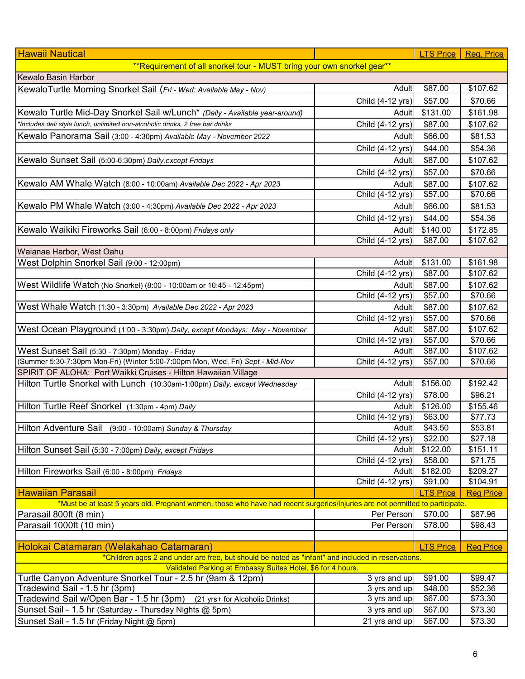| ** Requirement of all snorkel tour - MUST bring your own snorkel gear**<br>\$87.00<br>Adult<br>\$107.62<br>\$57.00<br>Child (4-12 yrs)<br>\$70.66<br>\$131.00<br>\$161.98<br>Adult<br>*Includes deli style lunch, unlimited non-alcoholic drinks, 2 free bar drinks<br>Child (4-12 yrs)<br>\$107.62<br>\$87.00<br>Kewalo Panorama Sail (3:00 - 4:30pm) Available May - November 2022<br>\$66.00<br>\$81.53<br>Adult<br>Child (4-12 yrs)<br>\$44.00<br>\$54.36<br>Kewalo Sunset Sail (5:00-6:30pm) Daily, except Fridays<br>\$87.00<br>\$107.62<br>Adult<br>\$57.00<br>Child (4-12 yrs)<br>\$70.66<br>Kewalo AM Whale Watch (8:00 - 10:00am) Available Dec 2022 - Apr 2023<br>\$87.00<br>\$107.62<br>Adult<br>Child (4-12 yrs)<br>\$57.00<br>\$70.66<br>Kewalo PM Whale Watch (3:00 - 4:30pm) Available Dec 2022 - Apr 2023<br>\$66.00<br>\$81.53<br>Adult<br>Child (4-12 yrs)<br>\$44.00<br>\$54.36<br>Kewalo Waikiki Fireworks Sail (6:00 - 8:00pm) Fridays only<br>\$140.00<br>\$172.85<br>Adult<br>Child (4-12 yrs)<br>\$87.00<br>\$107.62<br>Waianae Harbor, West Oahu<br>West Dolphin Snorkel Sail (9:00 - 12:00pm)<br>\$131.00<br>\$161.98<br>Adult<br>\$87.00<br>\$107.62<br>Child (4-12 yrs)<br>\$87.00<br>\$107.62<br>Adult<br>Child (4-12 yrs)<br>\$57.00<br>\$70.66<br>\$87.00<br>\$107.62<br>Adult<br>Child (4-12 yrs)<br>\$57.00<br>\$70.66<br>West Ocean Playground (1:00 - 3:30pm) Daily, except Mondays: May - November<br>\$87.00<br>\$107.62<br>Adult<br>$\overline{Child}$ (4-12 yrs)<br>\$57.00<br>\$70.66<br>West Sunset Sail (5:30 - 7:30pm) Monday - Friday<br>\$107.62<br>\$87.00<br>Adult<br>(Summer 5:30-7:30pm Mon-Fri) (Winter 5:00-7:00pm Mon, Wed, Fri) Sept - Mid-Nov<br>Child (4-12 yrs)<br>\$57.00<br>\$70.66<br>SPIRIT OF ALOHA: Port Waikki Cruises - Hilton Hawaiian Village<br>\$156.00<br>Hilton Turtle Snorkel with Lunch (10:30am-1:00pm) Daily, except Wednesday<br>Adult<br>\$192.42<br>\$78.00<br>\$96.21<br>Child (4-12 yrs)<br>Hilton Turtle Reef Snorkel (1:30pm - 4pm) Daily<br>\$126.00<br>\$155.46<br>Adult<br>Child $(4-12 \text{ yrs})$<br>\$63.00<br>\$77.73<br>\$43.50<br>\$53.81<br>Hilton Adventure Sail (9:00 - 10:00am) Sunday & Thursday<br>Adult<br>Child (4-12 yrs)<br>\$22.00<br>\$27.18<br>\$122.00<br>\$151.11<br>Hilton Sunset Sail (5:30 - 7:00pm) Daily, except Fridays<br>Adult<br>\$58.00<br>\$71.75<br>Child (4-12 yrs)<br>\$182.00<br>Adult<br>\$209.27<br>Hilton Fireworks Sail (6:00 - 8:00pm) Fridays | <b>Hawaii Nautical</b>                                                      |                  | <b>LTS Price</b> | Reg. Price |
|--------------------------------------------------------------------------------------------------------------------------------------------------------------------------------------------------------------------------------------------------------------------------------------------------------------------------------------------------------------------------------------------------------------------------------------------------------------------------------------------------------------------------------------------------------------------------------------------------------------------------------------------------------------------------------------------------------------------------------------------------------------------------------------------------------------------------------------------------------------------------------------------------------------------------------------------------------------------------------------------------------------------------------------------------------------------------------------------------------------------------------------------------------------------------------------------------------------------------------------------------------------------------------------------------------------------------------------------------------------------------------------------------------------------------------------------------------------------------------------------------------------------------------------------------------------------------------------------------------------------------------------------------------------------------------------------------------------------------------------------------------------------------------------------------------------------------------------------------------------------------------------------------------------------------------------------------------------------------------------------------------------------------------------------------------------------------------------------------------------------------------------------------------------------------------------------------------------------------------------------------------------------------------------------------------------------------------------------------------------------------------------------------------------------------------------------------------------------------------|-----------------------------------------------------------------------------|------------------|------------------|------------|
|                                                                                                                                                                                                                                                                                                                                                                                                                                                                                                                                                                                                                                                                                                                                                                                                                                                                                                                                                                                                                                                                                                                                                                                                                                                                                                                                                                                                                                                                                                                                                                                                                                                                                                                                                                                                                                                                                                                                                                                                                                                                                                                                                                                                                                                                                                                                                                                                                                                                                |                                                                             |                  |                  |            |
|                                                                                                                                                                                                                                                                                                                                                                                                                                                                                                                                                                                                                                                                                                                                                                                                                                                                                                                                                                                                                                                                                                                                                                                                                                                                                                                                                                                                                                                                                                                                                                                                                                                                                                                                                                                                                                                                                                                                                                                                                                                                                                                                                                                                                                                                                                                                                                                                                                                                                | <b>Kewalo Basin Harbor</b>                                                  |                  |                  |            |
|                                                                                                                                                                                                                                                                                                                                                                                                                                                                                                                                                                                                                                                                                                                                                                                                                                                                                                                                                                                                                                                                                                                                                                                                                                                                                                                                                                                                                                                                                                                                                                                                                                                                                                                                                                                                                                                                                                                                                                                                                                                                                                                                                                                                                                                                                                                                                                                                                                                                                | KewaloTurtle Morning Snorkel Sail (Fri - Wed: Available May - Nov)          |                  |                  |            |
|                                                                                                                                                                                                                                                                                                                                                                                                                                                                                                                                                                                                                                                                                                                                                                                                                                                                                                                                                                                                                                                                                                                                                                                                                                                                                                                                                                                                                                                                                                                                                                                                                                                                                                                                                                                                                                                                                                                                                                                                                                                                                                                                                                                                                                                                                                                                                                                                                                                                                |                                                                             |                  |                  |            |
|                                                                                                                                                                                                                                                                                                                                                                                                                                                                                                                                                                                                                                                                                                                                                                                                                                                                                                                                                                                                                                                                                                                                                                                                                                                                                                                                                                                                                                                                                                                                                                                                                                                                                                                                                                                                                                                                                                                                                                                                                                                                                                                                                                                                                                                                                                                                                                                                                                                                                | Kewalo Turtle Mid-Day Snorkel Sail w/Lunch* (Daily - Available year-around) |                  |                  |            |
|                                                                                                                                                                                                                                                                                                                                                                                                                                                                                                                                                                                                                                                                                                                                                                                                                                                                                                                                                                                                                                                                                                                                                                                                                                                                                                                                                                                                                                                                                                                                                                                                                                                                                                                                                                                                                                                                                                                                                                                                                                                                                                                                                                                                                                                                                                                                                                                                                                                                                |                                                                             |                  |                  |            |
|                                                                                                                                                                                                                                                                                                                                                                                                                                                                                                                                                                                                                                                                                                                                                                                                                                                                                                                                                                                                                                                                                                                                                                                                                                                                                                                                                                                                                                                                                                                                                                                                                                                                                                                                                                                                                                                                                                                                                                                                                                                                                                                                                                                                                                                                                                                                                                                                                                                                                |                                                                             |                  |                  |            |
|                                                                                                                                                                                                                                                                                                                                                                                                                                                                                                                                                                                                                                                                                                                                                                                                                                                                                                                                                                                                                                                                                                                                                                                                                                                                                                                                                                                                                                                                                                                                                                                                                                                                                                                                                                                                                                                                                                                                                                                                                                                                                                                                                                                                                                                                                                                                                                                                                                                                                |                                                                             |                  |                  |            |
|                                                                                                                                                                                                                                                                                                                                                                                                                                                                                                                                                                                                                                                                                                                                                                                                                                                                                                                                                                                                                                                                                                                                                                                                                                                                                                                                                                                                                                                                                                                                                                                                                                                                                                                                                                                                                                                                                                                                                                                                                                                                                                                                                                                                                                                                                                                                                                                                                                                                                |                                                                             |                  |                  |            |
|                                                                                                                                                                                                                                                                                                                                                                                                                                                                                                                                                                                                                                                                                                                                                                                                                                                                                                                                                                                                                                                                                                                                                                                                                                                                                                                                                                                                                                                                                                                                                                                                                                                                                                                                                                                                                                                                                                                                                                                                                                                                                                                                                                                                                                                                                                                                                                                                                                                                                |                                                                             |                  |                  |            |
|                                                                                                                                                                                                                                                                                                                                                                                                                                                                                                                                                                                                                                                                                                                                                                                                                                                                                                                                                                                                                                                                                                                                                                                                                                                                                                                                                                                                                                                                                                                                                                                                                                                                                                                                                                                                                                                                                                                                                                                                                                                                                                                                                                                                                                                                                                                                                                                                                                                                                |                                                                             |                  |                  |            |
|                                                                                                                                                                                                                                                                                                                                                                                                                                                                                                                                                                                                                                                                                                                                                                                                                                                                                                                                                                                                                                                                                                                                                                                                                                                                                                                                                                                                                                                                                                                                                                                                                                                                                                                                                                                                                                                                                                                                                                                                                                                                                                                                                                                                                                                                                                                                                                                                                                                                                |                                                                             |                  |                  |            |
|                                                                                                                                                                                                                                                                                                                                                                                                                                                                                                                                                                                                                                                                                                                                                                                                                                                                                                                                                                                                                                                                                                                                                                                                                                                                                                                                                                                                                                                                                                                                                                                                                                                                                                                                                                                                                                                                                                                                                                                                                                                                                                                                                                                                                                                                                                                                                                                                                                                                                |                                                                             |                  |                  |            |
|                                                                                                                                                                                                                                                                                                                                                                                                                                                                                                                                                                                                                                                                                                                                                                                                                                                                                                                                                                                                                                                                                                                                                                                                                                                                                                                                                                                                                                                                                                                                                                                                                                                                                                                                                                                                                                                                                                                                                                                                                                                                                                                                                                                                                                                                                                                                                                                                                                                                                |                                                                             |                  |                  |            |
|                                                                                                                                                                                                                                                                                                                                                                                                                                                                                                                                                                                                                                                                                                                                                                                                                                                                                                                                                                                                                                                                                                                                                                                                                                                                                                                                                                                                                                                                                                                                                                                                                                                                                                                                                                                                                                                                                                                                                                                                                                                                                                                                                                                                                                                                                                                                                                                                                                                                                |                                                                             |                  |                  |            |
|                                                                                                                                                                                                                                                                                                                                                                                                                                                                                                                                                                                                                                                                                                                                                                                                                                                                                                                                                                                                                                                                                                                                                                                                                                                                                                                                                                                                                                                                                                                                                                                                                                                                                                                                                                                                                                                                                                                                                                                                                                                                                                                                                                                                                                                                                                                                                                                                                                                                                |                                                                             |                  |                  |            |
|                                                                                                                                                                                                                                                                                                                                                                                                                                                                                                                                                                                                                                                                                                                                                                                                                                                                                                                                                                                                                                                                                                                                                                                                                                                                                                                                                                                                                                                                                                                                                                                                                                                                                                                                                                                                                                                                                                                                                                                                                                                                                                                                                                                                                                                                                                                                                                                                                                                                                |                                                                             |                  |                  |            |
|                                                                                                                                                                                                                                                                                                                                                                                                                                                                                                                                                                                                                                                                                                                                                                                                                                                                                                                                                                                                                                                                                                                                                                                                                                                                                                                                                                                                                                                                                                                                                                                                                                                                                                                                                                                                                                                                                                                                                                                                                                                                                                                                                                                                                                                                                                                                                                                                                                                                                |                                                                             |                  |                  |            |
|                                                                                                                                                                                                                                                                                                                                                                                                                                                                                                                                                                                                                                                                                                                                                                                                                                                                                                                                                                                                                                                                                                                                                                                                                                                                                                                                                                                                                                                                                                                                                                                                                                                                                                                                                                                                                                                                                                                                                                                                                                                                                                                                                                                                                                                                                                                                                                                                                                                                                |                                                                             |                  |                  |            |
|                                                                                                                                                                                                                                                                                                                                                                                                                                                                                                                                                                                                                                                                                                                                                                                                                                                                                                                                                                                                                                                                                                                                                                                                                                                                                                                                                                                                                                                                                                                                                                                                                                                                                                                                                                                                                                                                                                                                                                                                                                                                                                                                                                                                                                                                                                                                                                                                                                                                                | West Wildlife Watch (No Snorkel) (8:00 - 10:00am or 10:45 - 12:45pm)        |                  |                  |            |
|                                                                                                                                                                                                                                                                                                                                                                                                                                                                                                                                                                                                                                                                                                                                                                                                                                                                                                                                                                                                                                                                                                                                                                                                                                                                                                                                                                                                                                                                                                                                                                                                                                                                                                                                                                                                                                                                                                                                                                                                                                                                                                                                                                                                                                                                                                                                                                                                                                                                                |                                                                             |                  |                  |            |
|                                                                                                                                                                                                                                                                                                                                                                                                                                                                                                                                                                                                                                                                                                                                                                                                                                                                                                                                                                                                                                                                                                                                                                                                                                                                                                                                                                                                                                                                                                                                                                                                                                                                                                                                                                                                                                                                                                                                                                                                                                                                                                                                                                                                                                                                                                                                                                                                                                                                                | West Whale Watch (1:30 - 3:30pm) Available Dec 2022 - Apr 2023              |                  |                  |            |
|                                                                                                                                                                                                                                                                                                                                                                                                                                                                                                                                                                                                                                                                                                                                                                                                                                                                                                                                                                                                                                                                                                                                                                                                                                                                                                                                                                                                                                                                                                                                                                                                                                                                                                                                                                                                                                                                                                                                                                                                                                                                                                                                                                                                                                                                                                                                                                                                                                                                                |                                                                             |                  |                  |            |
|                                                                                                                                                                                                                                                                                                                                                                                                                                                                                                                                                                                                                                                                                                                                                                                                                                                                                                                                                                                                                                                                                                                                                                                                                                                                                                                                                                                                                                                                                                                                                                                                                                                                                                                                                                                                                                                                                                                                                                                                                                                                                                                                                                                                                                                                                                                                                                                                                                                                                |                                                                             |                  |                  |            |
|                                                                                                                                                                                                                                                                                                                                                                                                                                                                                                                                                                                                                                                                                                                                                                                                                                                                                                                                                                                                                                                                                                                                                                                                                                                                                                                                                                                                                                                                                                                                                                                                                                                                                                                                                                                                                                                                                                                                                                                                                                                                                                                                                                                                                                                                                                                                                                                                                                                                                |                                                                             |                  |                  |            |
|                                                                                                                                                                                                                                                                                                                                                                                                                                                                                                                                                                                                                                                                                                                                                                                                                                                                                                                                                                                                                                                                                                                                                                                                                                                                                                                                                                                                                                                                                                                                                                                                                                                                                                                                                                                                                                                                                                                                                                                                                                                                                                                                                                                                                                                                                                                                                                                                                                                                                |                                                                             |                  |                  |            |
|                                                                                                                                                                                                                                                                                                                                                                                                                                                                                                                                                                                                                                                                                                                                                                                                                                                                                                                                                                                                                                                                                                                                                                                                                                                                                                                                                                                                                                                                                                                                                                                                                                                                                                                                                                                                                                                                                                                                                                                                                                                                                                                                                                                                                                                                                                                                                                                                                                                                                |                                                                             |                  |                  |            |
|                                                                                                                                                                                                                                                                                                                                                                                                                                                                                                                                                                                                                                                                                                                                                                                                                                                                                                                                                                                                                                                                                                                                                                                                                                                                                                                                                                                                                                                                                                                                                                                                                                                                                                                                                                                                                                                                                                                                                                                                                                                                                                                                                                                                                                                                                                                                                                                                                                                                                |                                                                             |                  |                  |            |
|                                                                                                                                                                                                                                                                                                                                                                                                                                                                                                                                                                                                                                                                                                                                                                                                                                                                                                                                                                                                                                                                                                                                                                                                                                                                                                                                                                                                                                                                                                                                                                                                                                                                                                                                                                                                                                                                                                                                                                                                                                                                                                                                                                                                                                                                                                                                                                                                                                                                                |                                                                             |                  |                  |            |
|                                                                                                                                                                                                                                                                                                                                                                                                                                                                                                                                                                                                                                                                                                                                                                                                                                                                                                                                                                                                                                                                                                                                                                                                                                                                                                                                                                                                                                                                                                                                                                                                                                                                                                                                                                                                                                                                                                                                                                                                                                                                                                                                                                                                                                                                                                                                                                                                                                                                                |                                                                             |                  |                  |            |
|                                                                                                                                                                                                                                                                                                                                                                                                                                                                                                                                                                                                                                                                                                                                                                                                                                                                                                                                                                                                                                                                                                                                                                                                                                                                                                                                                                                                                                                                                                                                                                                                                                                                                                                                                                                                                                                                                                                                                                                                                                                                                                                                                                                                                                                                                                                                                                                                                                                                                |                                                                             |                  |                  |            |
|                                                                                                                                                                                                                                                                                                                                                                                                                                                                                                                                                                                                                                                                                                                                                                                                                                                                                                                                                                                                                                                                                                                                                                                                                                                                                                                                                                                                                                                                                                                                                                                                                                                                                                                                                                                                                                                                                                                                                                                                                                                                                                                                                                                                                                                                                                                                                                                                                                                                                |                                                                             |                  |                  |            |
|                                                                                                                                                                                                                                                                                                                                                                                                                                                                                                                                                                                                                                                                                                                                                                                                                                                                                                                                                                                                                                                                                                                                                                                                                                                                                                                                                                                                                                                                                                                                                                                                                                                                                                                                                                                                                                                                                                                                                                                                                                                                                                                                                                                                                                                                                                                                                                                                                                                                                |                                                                             |                  |                  |            |
|                                                                                                                                                                                                                                                                                                                                                                                                                                                                                                                                                                                                                                                                                                                                                                                                                                                                                                                                                                                                                                                                                                                                                                                                                                                                                                                                                                                                                                                                                                                                                                                                                                                                                                                                                                                                                                                                                                                                                                                                                                                                                                                                                                                                                                                                                                                                                                                                                                                                                |                                                                             |                  |                  |            |
|                                                                                                                                                                                                                                                                                                                                                                                                                                                                                                                                                                                                                                                                                                                                                                                                                                                                                                                                                                                                                                                                                                                                                                                                                                                                                                                                                                                                                                                                                                                                                                                                                                                                                                                                                                                                                                                                                                                                                                                                                                                                                                                                                                                                                                                                                                                                                                                                                                                                                |                                                                             |                  |                  |            |
|                                                                                                                                                                                                                                                                                                                                                                                                                                                                                                                                                                                                                                                                                                                                                                                                                                                                                                                                                                                                                                                                                                                                                                                                                                                                                                                                                                                                                                                                                                                                                                                                                                                                                                                                                                                                                                                                                                                                                                                                                                                                                                                                                                                                                                                                                                                                                                                                                                                                                |                                                                             |                  |                  |            |
|                                                                                                                                                                                                                                                                                                                                                                                                                                                                                                                                                                                                                                                                                                                                                                                                                                                                                                                                                                                                                                                                                                                                                                                                                                                                                                                                                                                                                                                                                                                                                                                                                                                                                                                                                                                                                                                                                                                                                                                                                                                                                                                                                                                                                                                                                                                                                                                                                                                                                |                                                                             | Child (4-12 yrs) | \$91.00          | \$104.91   |
| <b>LTS Price</b><br><b>Reg Price</b>                                                                                                                                                                                                                                                                                                                                                                                                                                                                                                                                                                                                                                                                                                                                                                                                                                                                                                                                                                                                                                                                                                                                                                                                                                                                                                                                                                                                                                                                                                                                                                                                                                                                                                                                                                                                                                                                                                                                                                                                                                                                                                                                                                                                                                                                                                                                                                                                                                           | <b>Hawaiian Parasail</b>                                                    |                  |                  |            |
| *Must be at least 5 years old. Pregnant women, those who have had recent surgeries/injuries are not permitted to participate.                                                                                                                                                                                                                                                                                                                                                                                                                                                                                                                                                                                                                                                                                                                                                                                                                                                                                                                                                                                                                                                                                                                                                                                                                                                                                                                                                                                                                                                                                                                                                                                                                                                                                                                                                                                                                                                                                                                                                                                                                                                                                                                                                                                                                                                                                                                                                  |                                                                             |                  |                  |            |
| Per Person<br>\$87.96<br>\$70.00                                                                                                                                                                                                                                                                                                                                                                                                                                                                                                                                                                                                                                                                                                                                                                                                                                                                                                                                                                                                                                                                                                                                                                                                                                                                                                                                                                                                                                                                                                                                                                                                                                                                                                                                                                                                                                                                                                                                                                                                                                                                                                                                                                                                                                                                                                                                                                                                                                               | Parasail 800ft (8 min)                                                      |                  |                  |            |
| Per Person<br>\$78.00<br>\$98.43                                                                                                                                                                                                                                                                                                                                                                                                                                                                                                                                                                                                                                                                                                                                                                                                                                                                                                                                                                                                                                                                                                                                                                                                                                                                                                                                                                                                                                                                                                                                                                                                                                                                                                                                                                                                                                                                                                                                                                                                                                                                                                                                                                                                                                                                                                                                                                                                                                               | Parasail 1000ft (10 min)                                                    |                  |                  |            |
|                                                                                                                                                                                                                                                                                                                                                                                                                                                                                                                                                                                                                                                                                                                                                                                                                                                                                                                                                                                                                                                                                                                                                                                                                                                                                                                                                                                                                                                                                                                                                                                                                                                                                                                                                                                                                                                                                                                                                                                                                                                                                                                                                                                                                                                                                                                                                                                                                                                                                |                                                                             |                  |                  |            |
| <b>LTS Price</b><br><b>Reg Price</b>                                                                                                                                                                                                                                                                                                                                                                                                                                                                                                                                                                                                                                                                                                                                                                                                                                                                                                                                                                                                                                                                                                                                                                                                                                                                                                                                                                                                                                                                                                                                                                                                                                                                                                                                                                                                                                                                                                                                                                                                                                                                                                                                                                                                                                                                                                                                                                                                                                           | Holokai Catamaran (Welakahao Catamaran)                                     |                  |                  |            |
| *Children ages 2 and under are free, but should be noted as "infant" and included in reservations.<br>Validated Parking at Embassy Suites Hotel, \$6 for 4 hours.                                                                                                                                                                                                                                                                                                                                                                                                                                                                                                                                                                                                                                                                                                                                                                                                                                                                                                                                                                                                                                                                                                                                                                                                                                                                                                                                                                                                                                                                                                                                                                                                                                                                                                                                                                                                                                                                                                                                                                                                                                                                                                                                                                                                                                                                                                              |                                                                             |                  |                  |            |
| Turtle Canyon Adventure Snorkel Tour - 2.5 hr (9am & 12pm)<br>\$91.00<br>\$99.47<br>3 yrs and up                                                                                                                                                                                                                                                                                                                                                                                                                                                                                                                                                                                                                                                                                                                                                                                                                                                                                                                                                                                                                                                                                                                                                                                                                                                                                                                                                                                                                                                                                                                                                                                                                                                                                                                                                                                                                                                                                                                                                                                                                                                                                                                                                                                                                                                                                                                                                                               |                                                                             |                  |                  |            |
| Tradewind Sail - 1.5 hr (3pm)<br>\$48.00<br>\$52.36<br>3 yrs and up                                                                                                                                                                                                                                                                                                                                                                                                                                                                                                                                                                                                                                                                                                                                                                                                                                                                                                                                                                                                                                                                                                                                                                                                                                                                                                                                                                                                                                                                                                                                                                                                                                                                                                                                                                                                                                                                                                                                                                                                                                                                                                                                                                                                                                                                                                                                                                                                            |                                                                             |                  |                  |            |
| Tradewind Sail w/Open Bar - 1.5 hr (3pm)<br>\$67.00<br>\$73.30<br>3 yrs and up<br>(21 yrs+ for Alcoholic Drinks)                                                                                                                                                                                                                                                                                                                                                                                                                                                                                                                                                                                                                                                                                                                                                                                                                                                                                                                                                                                                                                                                                                                                                                                                                                                                                                                                                                                                                                                                                                                                                                                                                                                                                                                                                                                                                                                                                                                                                                                                                                                                                                                                                                                                                                                                                                                                                               |                                                                             |                  |                  |            |
| \$67.00<br>\$73.30<br>3 yrs and up                                                                                                                                                                                                                                                                                                                                                                                                                                                                                                                                                                                                                                                                                                                                                                                                                                                                                                                                                                                                                                                                                                                                                                                                                                                                                                                                                                                                                                                                                                                                                                                                                                                                                                                                                                                                                                                                                                                                                                                                                                                                                                                                                                                                                                                                                                                                                                                                                                             | Sunset Sail - 1.5 hr (Saturday - Thursday Nights @ 5pm)                     |                  |                  |            |
| \$67.00<br>\$73.30<br>21 yrs and up                                                                                                                                                                                                                                                                                                                                                                                                                                                                                                                                                                                                                                                                                                                                                                                                                                                                                                                                                                                                                                                                                                                                                                                                                                                                                                                                                                                                                                                                                                                                                                                                                                                                                                                                                                                                                                                                                                                                                                                                                                                                                                                                                                                                                                                                                                                                                                                                                                            | Sunset Sail - 1.5 hr (Friday Night @ 5pm)                                   |                  |                  |            |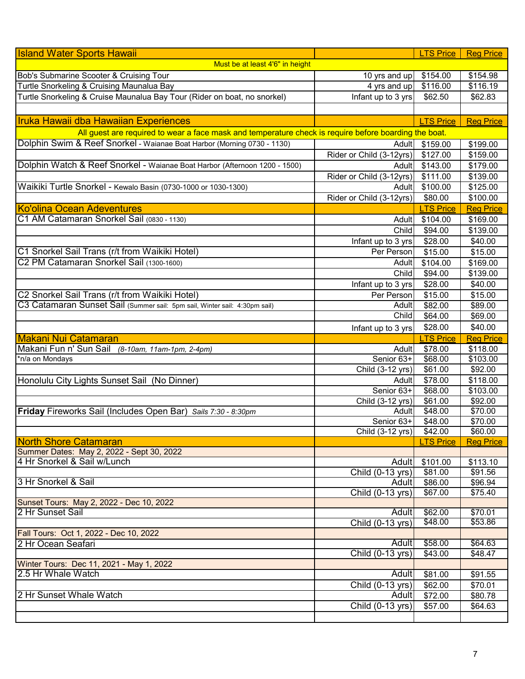| <b>Island Water Sports Hawaii</b>                                                                     |                               | <b>LTS Price</b>            | <b>Reg Price</b> |
|-------------------------------------------------------------------------------------------------------|-------------------------------|-----------------------------|------------------|
| Must be at least 4'6" in height                                                                       |                               |                             |                  |
| Bob's Submarine Scooter & Cruising Tour                                                               | 10 yrs and up                 | \$154.00                    | \$154.98         |
| Turtle Snorkeling & Cruising Maunalua Bay                                                             | 4 yrs and up                  | \$116.00                    | \$116.19         |
| Turtle Snorkeling & Cruise Maunalua Bay Tour (Rider on boat, no snorkel)                              | Infant up to 3 yrs            | \$62.50                     | \$62.83          |
|                                                                                                       |                               |                             |                  |
| <b>Iruka Hawaii dba Hawaiian Experiences</b>                                                          |                               | <b>LTS Price</b>            | <b>Reg Price</b> |
| All guest are required to wear a face mask and temperature check is require before boarding the boat. |                               |                             |                  |
| Dolphin Swim & Reef Snorkel - Waianae Boat Harbor (Morning 0730 - 1130)                               | <b>Adult</b>                  | \$159.00                    | \$199.00         |
|                                                                                                       | Rider or Child (3-12yrs)      | \$127.00                    | \$159.00         |
| Dolphin Watch & Reef Snorkel - Waianae Boat Harbor (Afternoon 1200 - 1500)                            | Adult                         | \$143.00                    | \$179.00         |
|                                                                                                       | Rider or Child (3-12yrs)      | \$111.00                    | \$139.00         |
| Waikiki Turtle Snorkel - Kewalo Basin (0730-1000 or 1030-1300)                                        | Adult                         | \$100.00                    | \$125.00         |
|                                                                                                       | Rider or Child (3-12yrs)      | \$80.00                     | \$100.00         |
| Ko'olina Ocean Adeventures                                                                            |                               | <b>LTS Price</b>            | <b>Reg Price</b> |
| C1 AM Catamaran Snorkel Sail (0830 - 1130)                                                            | Adult                         | \$104.00                    | \$169.00         |
|                                                                                                       | Child                         | \$94.00                     | \$139.00         |
|                                                                                                       | Infant up to 3 yrs            | \$28.00                     | \$40.00          |
| C1 Snorkel Sail Trans (r/t from Waikiki Hotel)                                                        | Per Person                    | \$15.00                     | \$15.00          |
| C2 PM Catamaran Snorkel Sail (1300-1600)                                                              | Adult                         | \$104.00                    | \$169.00         |
|                                                                                                       | Child                         | \$94.00                     | \$139.00         |
|                                                                                                       | Infant up to 3 yrs            | \$28.00                     | \$40.00          |
| C2 Snorkel Sail Trans (r/t from Waikiki Hotel)                                                        | Per Person                    | \$15.00                     | \$15.00          |
| C3 Catamaran Sunset Sail (Summer sail: 5pm sail, Winter sail: 4:30pm sail)                            | Adult                         | \$82.00                     | \$89.00          |
|                                                                                                       | Child                         | \$64.00                     | \$69.00          |
|                                                                                                       |                               |                             | \$40.00          |
|                                                                                                       | Infant up to 3 yrs            | \$28.00                     |                  |
|                                                                                                       |                               |                             |                  |
| <b>Makani Nui Catamaran</b>                                                                           |                               | <b>LTS Price</b>            | <b>Reg Price</b> |
| Makani Fun n' Sun Sail (8-10am, 11am-1pm, 2-4pm)                                                      | Adult                         | \$78.00                     | \$118.00         |
| *n/a on Mondays                                                                                       | Senior 63+                    | \$68.00                     | \$103.00         |
|                                                                                                       | Child (3-12 yrs)              | \$61.00                     | \$92.00          |
| Honolulu City Lights Sunset Sail (No Dinner)                                                          | Adult                         | \$78.00                     | \$118.00         |
|                                                                                                       | Senior 63+                    | \$68.00                     | \$103.00         |
|                                                                                                       | Child (3-12 yrs)              | \$61.00                     | \$92.00          |
| Friday Fireworks Sail (Includes Open Bar) Sails 7:30 - 8:30pm                                         | Adult                         | \$48.00                     | \$70.00          |
|                                                                                                       | Senior 63+                    | \$48.00                     | \$70.00          |
| <b>North Shore Catamaran</b>                                                                          | Child $(3-12 \text{ yrs})$    | \$42.00<br><b>LTS Price</b> | \$60.00          |
| Summer Dates: May 2, 2022 - Sept 30, 2022                                                             |                               |                             | <b>Reg Price</b> |
| 4 Hr Snorkel & Sail w/Lunch                                                                           | <b>Adult</b>                  | \$101.00                    | \$113.10         |
|                                                                                                       | $\overline{Child}$ (0-13 yrs) | \$81.00                     | \$91.56          |
| 3 Hr Snorkel & Sail                                                                                   | Adult                         | \$86.00                     | \$96.94          |
|                                                                                                       | Child $(0-13$ yrs)            | \$67.00                     | \$75.40          |
| Sunset Tours: May 2, 2022 - Dec 10, 2022                                                              |                               |                             |                  |
| 2 Hr Sunset Sail                                                                                      | Adult                         | \$62.00                     | \$70.01          |
|                                                                                                       | Child (0-13 yrs)              | \$48.00                     | \$53.86          |
| Fall Tours: Oct 1, 2022 - Dec 10, 2022                                                                |                               |                             |                  |
| 2 Hr Ocean Seafari                                                                                    | <b>Adult</b>                  | \$58.00                     | \$64.63          |
|                                                                                                       | Child (0-13 yrs)              | \$43.00                     | \$48.47          |
| Winter Tours: Dec 11, 2021 - May 1, 2022                                                              |                               |                             |                  |
| 2.5 Hr Whale Watch                                                                                    | <b>Adult</b>                  | \$81.00                     | \$91.55          |
|                                                                                                       | Child (0-13 yrs)              | \$62.00                     | \$70.01          |
| 2 Hr Sunset Whale Watch                                                                               | <b>Adult</b>                  | \$72.00                     | \$80.78          |
|                                                                                                       | Child (0-13 yrs)              | \$57.00                     | \$64.63          |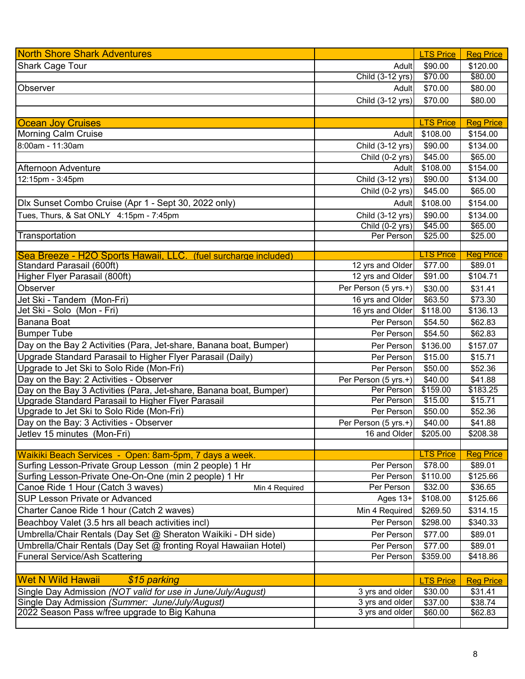| <b>North Shore Shark Adventures</b>                                                             |                          | <b>LTS Price</b>    | <b>Reg Price</b>   |
|-------------------------------------------------------------------------------------------------|--------------------------|---------------------|--------------------|
| <b>Shark Cage Tour</b>                                                                          | Adult                    | \$90.00             | \$120.00           |
|                                                                                                 | Child (3-12 yrs)         | \$70.00             | \$80.00            |
| Observer                                                                                        | Adult                    | \$70.00             | \$80.00            |
|                                                                                                 | Child (3-12 yrs)         | \$70.00             | \$80.00            |
|                                                                                                 |                          |                     |                    |
| <b>Ocean Joy Cruises</b>                                                                        |                          | <b>LTS Price</b>    | <b>Reg Price</b>   |
| <b>Morning Calm Cruise</b>                                                                      | Adult                    | \$108.00            | \$154.00           |
| 8:00am - 11:30am                                                                                | Child (3-12 yrs)         | \$90.00             | \$134.00           |
|                                                                                                 | Child (0-2 yrs)          | $\sqrt{$45.00}$     | \$65.00            |
| <b>Afternoon Adventure</b>                                                                      | Adult                    | \$108.00            | \$154.00           |
| 12:15pm - 3:45pm                                                                                | Child (3-12 yrs)         | \$90.00             | \$134.00           |
|                                                                                                 | Child (0-2 yrs)          | \$45.00             | \$65.00            |
| Dlx Sunset Combo Cruise (Apr 1 - Sept 30, 2022 only)                                            | Adult                    | \$108.00            | \$154.00           |
| Tues, Thurs, & Sat ONLY 4:15pm - 7:45pm                                                         | Child (3-12 yrs)         | \$90.00             | \$134.00           |
|                                                                                                 | Child (0-2 yrs)          | \$45.00             | \$65.00            |
| Transportation                                                                                  | Per Person               | \$25.00             | \$25.00            |
|                                                                                                 |                          |                     |                    |
| Sea Breeze - H2O Sports Hawaii, LLC.<br>(fuel surcharge included)                               |                          | <b>TS Price</b>     | <b>Reg Price</b>   |
| Standard Parasail (600ft)                                                                       | 12 yrs and Older         | \$77.00             | \$89.01            |
| Higher Flyer Parasail (800ft)                                                                   | 12 yrs and Older         | \$91.00             | \$104.71           |
| Observer                                                                                        | Per Person (5 yrs.+)     | \$30.00             | \$31.41            |
| Jet Ski - Tandem (Mon-Fri)                                                                      | 16 yrs and Older         | \$63.50             | \$73.30            |
| Jet Ski - Solo (Mon - Fri)                                                                      | 16 yrs and Older         | \$118.00            | \$136.13           |
| Banana Boat                                                                                     | Per Person               | \$54.50             | \$62.83            |
| <b>Bumper Tube</b>                                                                              | Per Person               | \$54.50             | \$62.83            |
| Day on the Bay 2 Activities (Para, Jet-share, Banana boat, Bumper)                              | Per Person               | \$136.00            | \$157.07           |
| Upgrade Standard Parasail to Higher Flyer Parasail (Daily)                                      | Per Person               | \$15.00             | \$15.71            |
| Upgrade to Jet Ski to Solo Ride (Mon-Fri)                                                       | Per Person               | \$50.00             | \$52.36            |
| Day on the Bay: 2 Activities - Observer                                                         | Per Person (5 yrs.+)     | \$40.00             | \$41.88            |
| Day on the Bay 3 Activities (Para, Jet-share, Banana boat, Bumper)                              | Per Person<br>Per Person | \$159.00<br>\$15.00 | \$183.25           |
| Upgrade Standard Parasail to Higher Flyer Parasail<br>Upgrade to Jet Ski to Solo Ride (Mon-Fri) | Per Person               | \$50.00             | \$15.71<br>\$52.36 |
| Day on the Bay: 3 Activities - Observer                                                         | Per Person (5 yrs.+)     | \$40.00             | \$41.88            |
| Jetlev 15 minutes (Mon-Fri)                                                                     | 16 and Older             | \$205.00            | \$208.38           |
|                                                                                                 |                          |                     |                    |
| Waikiki Beach Services - Open: 8am-5pm, 7 days a week.                                          |                          | <b>LTS Price</b>    | <b>Reg Price</b>   |
| Surfing Lesson-Private Group Lesson (min 2 people) 1 Hr                                         | Per Person               | \$78.00             | \$89.01            |
| Surfing Lesson-Private One-On-One (min 2 people) 1 Hr                                           | Per Person               | \$110.00            | \$125.66           |
| Canoe Ride 1 Hour (Catch 3 waves)<br>Min 4 Required                                             | Per Person               | \$32.00             | \$36.65            |
| SUP Lesson Private or Advanced                                                                  | Ages $13+$               | \$108.00            | \$125.66           |
| Charter Canoe Ride 1 hour (Catch 2 waves)                                                       | Min 4 Required           | \$269.50            | \$314.15           |
| Beachboy Valet (3.5 hrs all beach activities incl)                                              | Per Person               | \$298.00            | \$340.33           |
| Umbrella/Chair Rentals (Day Set @ Sheraton Waikiki - DH side)                                   | Per Person               | \$77.00             | \$89.01            |
| Umbrella/Chair Rentals (Day Set @ fronting Royal Hawaiian Hotel)                                | Per Person               | \$77.00             | \$89.01            |
| <b>Funeral Service/Ash Scattering</b>                                                           | Per Person               | \$359.00            | \$418.86           |
|                                                                                                 |                          |                     |                    |
| <b>Wet N Wild Hawaii</b><br>\$15 parking                                                        |                          | <b>LTS Price</b>    | <b>Reg Price</b>   |
| Single Day Admission (NOT valid for use in June/July/August)                                    | 3 yrs and older          | \$30.00             | \$31.41            |
| Single Day Admission (Summer: June/July/August)                                                 | 3 yrs and older          | \$37.00             | \$38.74            |
| 2022 Season Pass w/free upgrade to Big Kahuna                                                   | 3 yrs and older          | \$60.00             | \$62.83            |
|                                                                                                 |                          |                     |                    |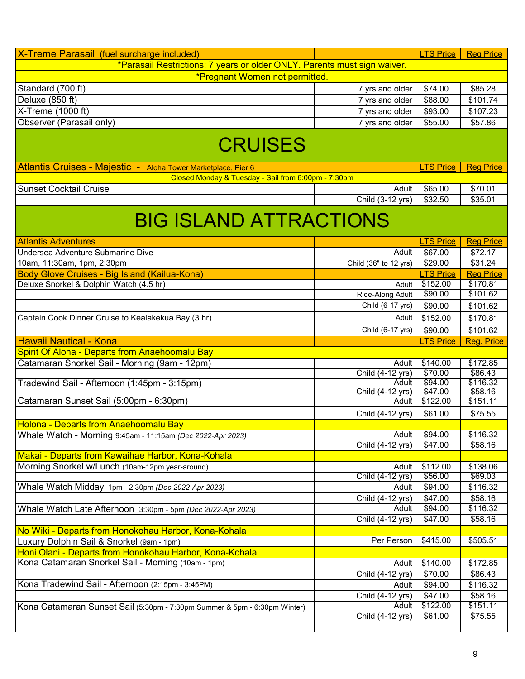| X-Treme Parasail (fuel surcharge included)                                      |                       | <b>LTS Price</b> | <b>Reg Price</b> |
|---------------------------------------------------------------------------------|-----------------------|------------------|------------------|
| *Parasail Restrictions: 7 years or older ONLY. Parents must sign waiver.        |                       |                  |                  |
| *Pregnant Women not permitted.                                                  |                       |                  |                  |
| Standard (700 ft)                                                               | 7 yrs and older       | \$74.00          | \$85.28          |
| Deluxe (850 ft)                                                                 |                       | \$88.00          |                  |
|                                                                                 | 7 yrs and older       |                  | \$101.74         |
| X-Treme (1000 ft)                                                               | 7 yrs and older       | \$93.00          | \$107.23         |
| Observer (Parasail only)                                                        | 7 yrs and older       | \$55.00          | \$57.86          |
| <b>CRUISES</b><br>Atlantis Cruises - Majestic - Aloha Tower Marketplace, Pier 6 |                       | <b>LTS Price</b> | <b>Reg Price</b> |
| Closed Monday & Tuesday - Sail from 6:00pm - 7:30pm                             |                       |                  |                  |
| <b>Sunset Cocktail Cruise</b>                                                   | Adult                 | \$65.00          | \$70.01          |
|                                                                                 | Child (3-12 yrs)      | \$32.50          | \$35.01          |
|                                                                                 |                       |                  |                  |
| <b>BIG ISLAND ATTRACTIONS</b>                                                   |                       |                  |                  |
| <b>Atlantis Adventures</b>                                                      |                       | <b>LTS Price</b> | <b>Reg Price</b> |
| Undersea Adventure Submarine Dive                                               | Adult                 | \$67.00          | \$72.17          |
| 10am, 11:30am, 1pm, 2:30pm                                                      | Child (36" to 12 yrs) | \$29.00          | \$31.24          |
| Body Glove Cruises - Big Island (Kailua-Kona)                                   |                       | <b>LTS Price</b> | <b>Reg Price</b> |
| Deluxe Snorkel & Dolphin Watch (4.5 hr)                                         | Adult                 | \$152.00         | \$170.81         |
|                                                                                 | Ride-Along Adult      | \$90.00          | \$101.62         |
|                                                                                 | Child (6-17 yrs)      | \$90.00          | \$101.62         |
| Captain Cook Dinner Cruise to Kealakekua Bay (3 hr)                             | Adult                 | \$152.00         | \$170.81         |
|                                                                                 | Child (6-17 yrs)      | \$90.00          | \$101.62         |
| <b>Hawaii Nautical - Kona</b>                                                   |                       | <b>LTS Price</b> | Reg. Price       |
| Spirit Of Aloha - Departs from Anaehoomalu Bay                                  |                       |                  |                  |
| Catamaran Snorkel Sail - Morning (9am - 12pm)                                   | Adult                 | \$140.00         | \$172.85         |
|                                                                                 | Child (4-12 yrs)      | \$70.00          | \$86.43          |
| Tradewind Sail - Afternoon (1:45pm - 3:15pm)                                    | Adult                 | \$94.00          | \$116.32         |
|                                                                                 | Child (4-12 yrs)      | \$47.00          | \$58.16          |
| Catamaran Sunset Sail (5:00pm - 6:30pm)                                         | Adult                 | \$122.00         | \$151.11         |
|                                                                                 | Child (4-12 yrs)      | \$61.00          | \$75.55          |
| <b>Holona - Departs from Anaehoomalu Bay</b>                                    |                       |                  |                  |
| Whale Watch - Morning 9:45am - 11:15am (Dec 2022-Apr 2023)                      | Adult                 | \$94.00          | \$116.32         |
|                                                                                 | Child (4-12 yrs)      | \$47.00          | \$58.16          |
| Makai - Departs from Kawaihae Harbor, Kona-Kohala                               |                       |                  |                  |
| Morning Snorkel w/Lunch (10am-12pm year-around)                                 | Adult                 | \$112.00         | \$138.06         |
|                                                                                 | Child (4-12 yrs)      | \$56.00          | \$69.03          |
| Whale Watch Midday 1pm - 2:30pm (Dec 2022-Apr 2023)                             | Adult                 | \$94.00          | \$116.32         |
|                                                                                 | Child (4-12 yrs)      | \$47.00          | \$58.16          |
| Whale Watch Late Afternoon 3:30pm - 5pm (Dec 2022-Apr 2023)                     |                       |                  | \$116.32         |
|                                                                                 | Adult                 | \$94.00          |                  |
|                                                                                 | Child (4-12 yrs)      | \$47.00          | \$58.16          |
| No Wiki - Departs from Honokohau Harbor, Kona-Kohala                            |                       |                  |                  |
| Luxury Dolphin Sail & Snorkel (9am - 1pm)                                       | Per Person            | \$415.00         | \$505.51         |
| Honi Olani - Departs from Honokohau Harbor, Kona-Kohala                         |                       |                  |                  |
| Kona Catamaran Snorkel Sail - Morning (10am - 1pm)                              | Adult                 | \$140.00         | \$172.85         |
|                                                                                 | Child (4-12 yrs)      | \$70.00          | \$86.43          |
| Kona Tradewind Sail - Afternoon (2:15pm - 3:45PM)                               | Adult                 | \$94.00          | \$116.32         |
|                                                                                 | Child (4-12 yrs)      | \$47.00          | \$58.16          |
| Kona Catamaran Sunset Sail (5:30pm - 7:30pm Summer & 5pm - 6:30pm Winter)       | Adult                 | \$122.00         | \$151.11         |
|                                                                                 | Child (4-12 yrs)      | \$61.00          | \$75.55          |